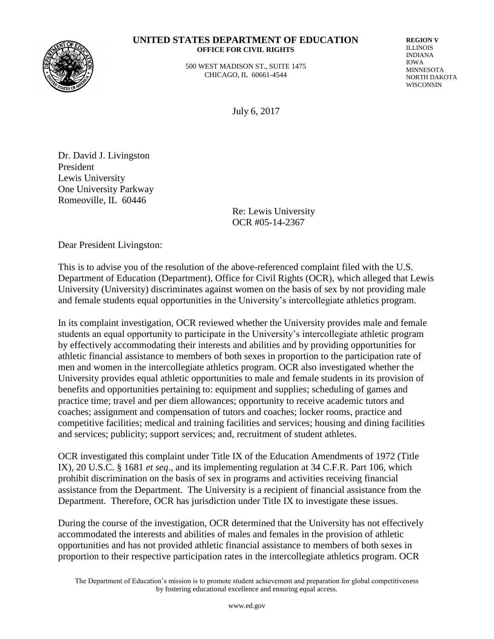

#### **UNITED STATES DEPARTMENT OF EDUCATION OFFICE FOR CIVIL RIGHTS**

 500 WEST MADISON ST., SUITE 1475 CHICAGO, IL 60661-4544

**REGION V** ILLINOIS INDIANA IOWA MINNESOTA NORTH DAKOTA WISCONSIN

July 6, 2017

Dr. David J. Livingston President Lewis University One University Parkway Romeoville, IL 60446

> Re: Lewis University OCR #05-14-2367

Dear President Livingston:

This is to advise you of the resolution of the above-referenced complaint filed with the U.S. Department of Education (Department), Office for Civil Rights (OCR), which alleged that Lewis University (University) discriminates against women on the basis of sex by not providing male and female students equal opportunities in the University's intercollegiate athletics program.

In its complaint investigation, OCR reviewed whether the University provides male and female students an equal opportunity to participate in the University's intercollegiate athletic program by effectively accommodating their interests and abilities and by providing opportunities for athletic financial assistance to members of both sexes in proportion to the participation rate of men and women in the intercollegiate athletics program. OCR also investigated whether the University provides equal athletic opportunities to male and female students in its provision of benefits and opportunities pertaining to: equipment and supplies; scheduling of games and practice time; travel and per diem allowances; opportunity to receive academic tutors and coaches; assignment and compensation of tutors and coaches; locker rooms, practice and competitive facilities; medical and training facilities and services; housing and dining facilities and services; publicity; support services; and, recruitment of student athletes.

OCR investigated this complaint under Title IX of the Education Amendments of 1972 (Title IX), 20 U.S.C. § 1681 *et seq*., and its implementing regulation at 34 C.F.R. Part 106, which prohibit discrimination on the basis of sex in programs and activities receiving financial assistance from the Department. The University is a recipient of financial assistance from the Department. Therefore, OCR has jurisdiction under Title IX to investigate these issues.

During the course of the investigation, OCR determined that the University has not effectively accommodated the interests and abilities of males and females in the provision of athletic opportunities and has not provided athletic financial assistance to members of both sexes in proportion to their respective participation rates in the intercollegiate athletics program. OCR

The Department of Education's mission is to promote student achievement and preparation for global competitiveness by fostering educational excellence and ensuring equal access.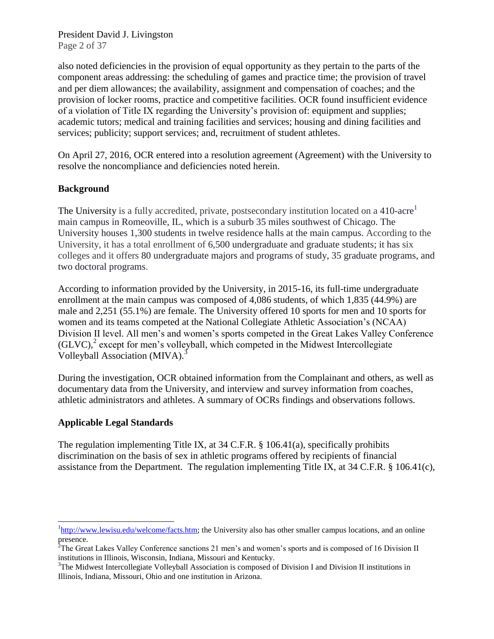President David J. Livingston Page 2 of 37

also noted deficiencies in the provision of equal opportunity as they pertain to the parts of the component areas addressing: the scheduling of games and practice time; the provision of travel and per diem allowances; the availability, assignment and compensation of coaches; and the provision of locker rooms, practice and competitive facilities. OCR found insufficient evidence of a violation of Title IX regarding the University's provision of: equipment and supplies; academic tutors; medical and training facilities and services; housing and dining facilities and services; publicity; support services; and, recruitment of student athletes.

On April 27, 2016, OCR entered into a resolution agreement (Agreement) with the University to resolve the noncompliance and deficiencies noted herein.

## **Background**

The University is a fully accredited, private, postsecondary institution located on a 410-acre<sup>1</sup> main campus in Romeoville, IL, which is a suburb 35 miles southwest of Chicago. The University houses 1,300 students in twelve residence halls at the main campus. According to the University, it has a total enrollment of 6,500 undergraduate and graduate students; it has six colleges and it offers 80 undergraduate majors and programs of study, 35 graduate programs, and two doctoral programs.

According to information provided by the University, in 2015-16, its full-time undergraduate enrollment at the main campus was composed of 4,086 students, of which 1,835 (44.9%) are male and 2,251 (55.1%) are female. The University offered 10 sports for men and 10 sports for women and its teams competed at the National Collegiate Athletic Association's (NCAA) Division II level. All men's and women's sports competed in the Great Lakes Valley Conference  $(GLVC)$ ,<sup>2</sup> except for men's volleyball, which competed in the Midwest Intercollegiate Volleyball Association (MIVA).<sup>3</sup>

During the investigation, OCR obtained information from the Complainant and others, as well as documentary data from the University, and interview and survey information from coaches, athletic administrators and athletes. A summary of OCRs findings and observations follows.

## **Applicable Legal Standards**

The regulation implementing Title IX, at 34 C.F.R. § 106.41(a), specifically prohibits discrimination on the basis of sex in athletic programs offered by recipients of financial assistance from the Department. The regulation implementing Title IX, at 34 C.F.R. § 106.41(c),

<sup>&</sup>lt;sup>1</sup>[http://www.lewisu.edu/welcome/facts.htm;](http://www.lewisu.edu/welcome/facts.htm) the University also has other smaller campus locations, and an online presence.

<sup>&</sup>lt;sup>2</sup>The Great Lakes Valley Conference sanctions 21 men's and women's sports and is composed of 16 Division II institutions in Illinois, Wisconsin, Indiana, Missouri and Kentucky.

<sup>&</sup>lt;sup>3</sup>The Midwest Intercollegiate Volleyball Association is composed of Division I and Division II institutions in Illinois, Indiana, Missouri, Ohio and one institution in Arizona.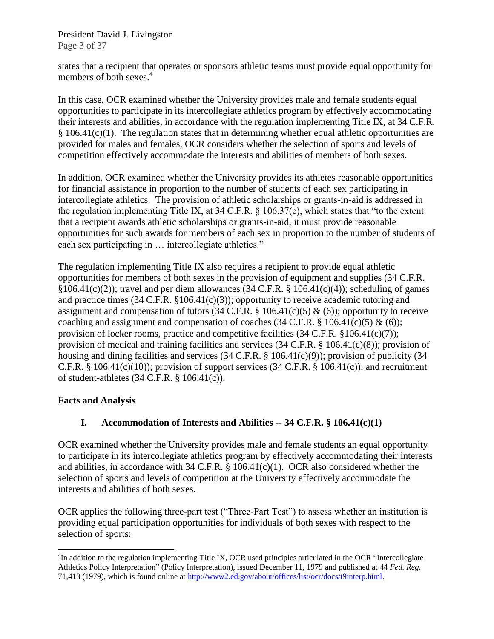President David J. Livingston Page 3 of 37

states that a recipient that operates or sponsors athletic teams must provide equal opportunity for members of both sexes.<sup>4</sup>

In this case, OCR examined whether the University provides male and female students equal opportunities to participate in its intercollegiate athletics program by effectively accommodating their interests and abilities, in accordance with the regulation implementing Title IX, at 34 C.F.R.  $§ 106.41(c)(1)$ . The regulation states that in determining whether equal athletic opportunities are provided for males and females, OCR considers whether the selection of sports and levels of competition effectively accommodate the interests and abilities of members of both sexes.

In addition, OCR examined whether the University provides its athletes reasonable opportunities for financial assistance in proportion to the number of students of each sex participating in intercollegiate athletics. The provision of athletic scholarships or grants-in-aid is addressed in the regulation implementing Title IX, at 34 C.F.R. § 106.37(c), which states that "to the extent that a recipient awards athletic scholarships or grants-in-aid, it must provide reasonable opportunities for such awards for members of each sex in proportion to the number of students of each sex participating in … intercollegiate athletics."

The regulation implementing Title IX also requires a recipient to provide equal athletic opportunities for members of both sexes in the provision of equipment and supplies (34 C.F.R.  $§106.41(c)(2)$ ; travel and per diem allowances (34 C.F.R. § 106.41(c)(4)); scheduling of games and practice times (34 C.F.R. §106.41(c)(3)); opportunity to receive academic tutoring and assignment and compensation of tutors (34 C.F.R.  $\S$  106.41(c)(5) & (6)); opportunity to receive coaching and assignment and compensation of coaches (34 C.F.R. § 106.41(c)(5) & (6)); provision of locker rooms, practice and competitive facilities (34 C.F.R. §106.41(c)(7)); provision of medical and training facilities and services (34 C.F.R. § 106.41(c)(8)); provision of housing and dining facilities and services (34 C.F.R. § 106.41(c)(9)); provision of publicity (34 C.F.R.  $\S$  106.41(c)(10)); provision of support services (34 C.F.R.  $\S$  106.41(c)); and recruitment of student-athletes (34 C.F.R. § 106.41(c)).

## **Facts and Analysis**

l

## **I. Accommodation of Interests and Abilities -- 34 C.F.R. § 106.41(c)(1)**

OCR examined whether the University provides male and female students an equal opportunity to participate in its intercollegiate athletics program by effectively accommodating their interests and abilities, in accordance with 34 C.F.R. § 106.41(c)(1). OCR also considered whether the selection of sports and levels of competition at the University effectively accommodate the interests and abilities of both sexes.

OCR applies the following three-part test ("Three-Part Test") to assess whether an institution is providing equal participation opportunities for individuals of both sexes with respect to the selection of sports:

<sup>&</sup>lt;sup>4</sup>In addition to the regulation implementing Title IX, OCR used principles articulated in the OCR "Intercollegiate Athletics Policy Interpretation" (Policy Interpretation), issued December 11, 1979 and published at 44 *Fed. Reg.* 71,413 (1979), which is found online at [http://www2.ed.gov/about/offices/list/ocr/docs/t9interp.html.](http://www2.ed.gov/about/offices/list/ocr/docs/t9interp.html)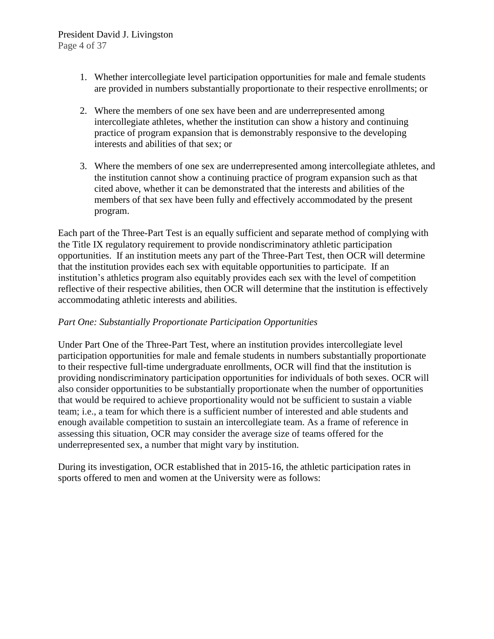#### President David J. Livingston Page 4 of 37

- 1. Whether intercollegiate level participation opportunities for male and female students are provided in numbers substantially proportionate to their respective enrollments; or
- 2. Where the members of one sex have been and are underrepresented among intercollegiate athletes, whether the institution can show a history and continuing practice of program expansion that is demonstrably responsive to the developing interests and abilities of that sex; or
- 3. Where the members of one sex are underrepresented among intercollegiate athletes, and the institution cannot show a continuing practice of program expansion such as that cited above, whether it can be demonstrated that the interests and abilities of the members of that sex have been fully and effectively accommodated by the present program.

Each part of the Three-Part Test is an equally sufficient and separate method of complying with the Title IX regulatory requirement to provide nondiscriminatory athletic participation opportunities. If an institution meets any part of the Three-Part Test, then OCR will determine that the institution provides each sex with equitable opportunities to participate. If an institution's athletics program also equitably provides each sex with the level of competition reflective of their respective abilities, then OCR will determine that the institution is effectively accommodating athletic interests and abilities.

#### *Part One: Substantially Proportionate Participation Opportunities*

Under Part One of the Three-Part Test, where an institution provides intercollegiate level participation opportunities for male and female students in numbers substantially proportionate to their respective full-time undergraduate enrollments, OCR will find that the institution is providing nondiscriminatory participation opportunities for individuals of both sexes. OCR will also consider opportunities to be substantially proportionate when the number of opportunities that would be required to achieve proportionality would not be sufficient to sustain a viable team; i.e., a team for which there is a sufficient number of interested and able students and enough available competition to sustain an intercollegiate team. As a frame of reference in assessing this situation, OCR may consider the average size of teams offered for the underrepresented sex, a number that might vary by institution.

During its investigation, OCR established that in 2015-16, the athletic participation rates in sports offered to men and women at the University were as follows: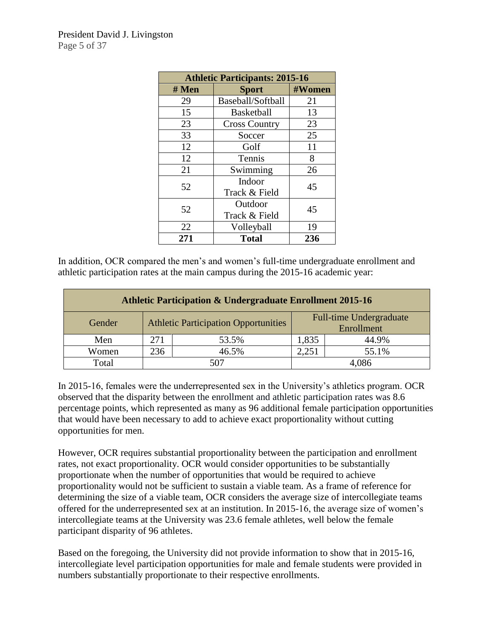| <b>Athletic Participants: 2015-16</b> |                          |        |  |  |
|---------------------------------------|--------------------------|--------|--|--|
| # Men                                 | <b>Sport</b>             | #Women |  |  |
| 29                                    | Baseball/Softball        | 21     |  |  |
| 15                                    | <b>Basketball</b>        | 13     |  |  |
| 23                                    | <b>Cross Country</b>     | 23     |  |  |
| 33                                    | Soccer                   | 25     |  |  |
| 12                                    | Golf                     | 11     |  |  |
| 12                                    | Tennis                   | 8      |  |  |
| 21                                    | Swimming                 | 26     |  |  |
| 52                                    | Indoor<br>Track & Field  | 45     |  |  |
| 52                                    | Outdoor<br>Track & Field | 45     |  |  |
| 22                                    | Volleyball               | 19     |  |  |
| 271                                   | <b>Total</b>             | 236    |  |  |

In addition, OCR compared the men's and women's full-time undergraduate enrollment and athletic participation rates at the main campus during the 2015-16 academic year:

| <b>Athletic Participation &amp; Undergraduate Enrollment 2015-16</b> |                                             |       |                                       |       |  |  |
|----------------------------------------------------------------------|---------------------------------------------|-------|---------------------------------------|-------|--|--|
| Gender                                                               | <b>Athletic Participation Opportunities</b> |       | Full-time Undergraduate<br>Enrollment |       |  |  |
| Men                                                                  | 271                                         | 53.5% | 1,835                                 | 44.9% |  |  |
| Women                                                                | 236                                         | 46.5% | 2,251                                 | 55.1% |  |  |
| Total                                                                |                                             |       | 4.086                                 |       |  |  |

In 2015-16, females were the underrepresented sex in the University's athletics program. OCR observed that the disparity between the enrollment and athletic participation rates was 8.6 percentage points, which represented as many as 96 additional female participation opportunities that would have been necessary to add to achieve exact proportionality without cutting opportunities for men.

However, OCR requires substantial proportionality between the participation and enrollment rates, not exact proportionality. OCR would consider opportunities to be substantially proportionate when the number of opportunities that would be required to achieve proportionality would not be sufficient to sustain a viable team. As a frame of reference for determining the size of a viable team, OCR considers the average size of intercollegiate teams offered for the underrepresented sex at an institution. In 2015-16, the average size of women's intercollegiate teams at the University was 23.6 female athletes, well below the female participant disparity of 96 athletes.

Based on the foregoing, the University did not provide information to show that in 2015-16, intercollegiate level participation opportunities for male and female students were provided in numbers substantially proportionate to their respective enrollments.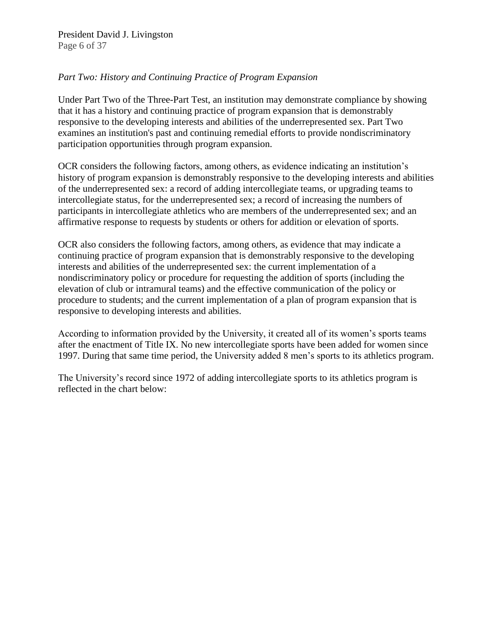President David J. Livingston Page 6 of 37

### *Part Two: History and Continuing Practice of Program Expansion*

Under Part Two of the Three-Part Test, an institution may demonstrate compliance by showing that it has a history and continuing practice of program expansion that is demonstrably responsive to the developing interests and abilities of the underrepresented sex. Part Two examines an institution's past and continuing remedial efforts to provide nondiscriminatory participation opportunities through program expansion.

OCR considers the following factors, among others, as evidence indicating an institution's history of program expansion is demonstrably responsive to the developing interests and abilities of the underrepresented sex: a record of adding intercollegiate teams, or upgrading teams to intercollegiate status, for the underrepresented sex; a record of increasing the numbers of participants in intercollegiate athletics who are members of the underrepresented sex; and an affirmative response to requests by students or others for addition or elevation of sports.

OCR also considers the following factors, among others, as evidence that may indicate a continuing practice of program expansion that is demonstrably responsive to the developing interests and abilities of the underrepresented sex: the current implementation of a nondiscriminatory policy or procedure for requesting the addition of sports (including the elevation of club or intramural teams) and the effective communication of the policy or procedure to students; and the current implementation of a plan of program expansion that is responsive to developing interests and abilities.

According to information provided by the University, it created all of its women's sports teams after the enactment of Title IX. No new intercollegiate sports have been added for women since 1997. During that same time period, the University added 8 men's sports to its athletics program.

The University's record since 1972 of adding intercollegiate sports to its athletics program is reflected in the chart below: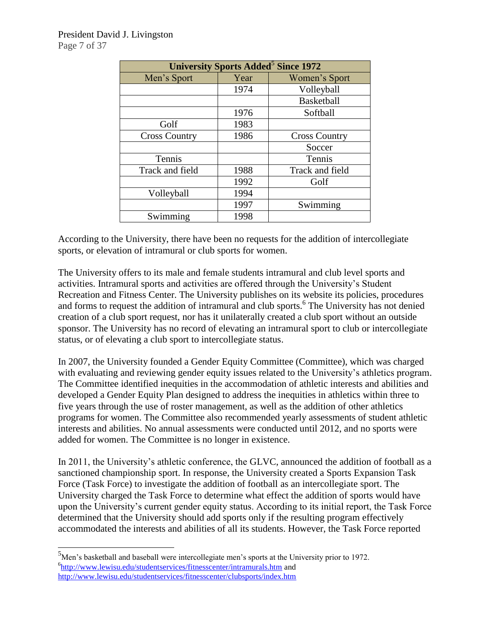| University Sports Added <sup>5</sup> Since 1972 |      |                      |  |  |  |
|-------------------------------------------------|------|----------------------|--|--|--|
| Men's Sport                                     | Year | Women's Sport        |  |  |  |
|                                                 | 1974 | Volleyball           |  |  |  |
|                                                 |      | <b>Basketball</b>    |  |  |  |
|                                                 | 1976 | Softball             |  |  |  |
| Golf                                            | 1983 |                      |  |  |  |
| <b>Cross Country</b>                            | 1986 | <b>Cross Country</b> |  |  |  |
|                                                 |      | Soccer               |  |  |  |
| Tennis                                          |      | Tennis               |  |  |  |
| Track and field                                 | 1988 | Track and field      |  |  |  |
|                                                 | 1992 | Golf                 |  |  |  |
| Volleyball                                      | 1994 |                      |  |  |  |
|                                                 | 1997 | Swimming             |  |  |  |
| Swimming                                        | 1998 |                      |  |  |  |

According to the University, there have been no requests for the addition of intercollegiate sports, or elevation of intramural or club sports for women.

The University offers to its male and female students intramural and club level sports and activities. Intramural sports and activities are offered through the University's Student Recreation and Fitness Center. The University publishes on its website its policies, procedures and forms to request the addition of intramural and club sports.<sup>6</sup> The University has not denied creation of a club sport request, nor has it unilaterally created a club sport without an outside sponsor. The University has no record of elevating an intramural sport to club or intercollegiate status, or of elevating a club sport to intercollegiate status.

In 2007, the University founded a Gender Equity Committee (Committee), which was charged with evaluating and reviewing gender equity issues related to the University's athletics program. The Committee identified inequities in the accommodation of athletic interests and abilities and developed a Gender Equity Plan designed to address the inequities in athletics within three to five years through the use of roster management, as well as the addition of other athletics programs for women. The Committee also recommended yearly assessments of student athletic interests and abilities. No annual assessments were conducted until 2012, and no sports were added for women. The Committee is no longer in existence.

In 2011, the University's athletic conference, the GLVC, announced the addition of football as a sanctioned championship sport. In response, the University created a Sports Expansion Task Force (Task Force) to investigate the addition of football as an intercollegiate sport. The University charged the Task Force to determine what effect the addition of sports would have upon the University's current gender equity status. According to its initial report, the Task Force determined that the University should add sports only if the resulting program effectively accommodated the interests and abilities of all its students. However, the Task Force reported

l

 $5$ Men's basketball and baseball were intercollegiate men's sports at the University prior to 1972. <sup>6</sup><http://www.lewisu.edu/studentservices/fitnesscenter/intramurals.htm> and <http://www.lewisu.edu/studentservices/fitnesscenter/clubsports/index.htm>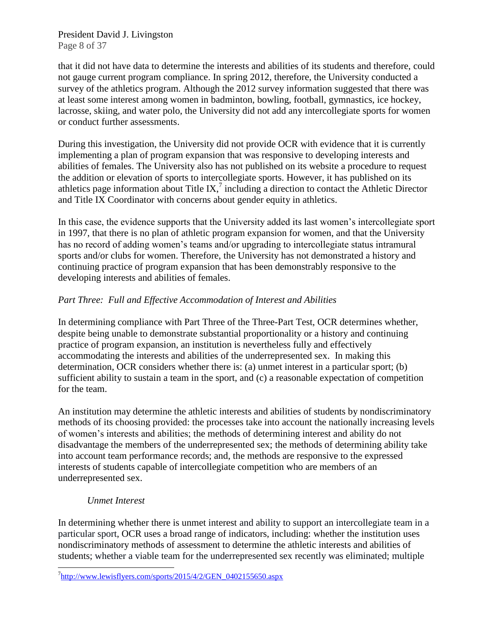President David J. Livingston Page 8 of 37

that it did not have data to determine the interests and abilities of its students and therefore, could not gauge current program compliance. In spring 2012, therefore, the University conducted a survey of the athletics program. Although the 2012 survey information suggested that there was at least some interest among women in badminton, bowling, football, gymnastics, ice hockey, lacrosse, skiing, and water polo, the University did not add any intercollegiate sports for women or conduct further assessments.

During this investigation, the University did not provide OCR with evidence that it is currently implementing a plan of program expansion that was responsive to developing interests and abilities of females. The University also has not published on its website a procedure to request the addition or elevation of sports to intercollegiate sports. However, it has published on its athletics page information about Title IX, $^7$  including a direction to contact the Athletic Director and Title IX Coordinator with concerns about gender equity in athletics.

In this case, the evidence supports that the University added its last women's intercollegiate sport in 1997, that there is no plan of athletic program expansion for women, and that the University has no record of adding women's teams and/or upgrading to intercollegiate status intramural sports and/or clubs for women. Therefore, the University has not demonstrated a history and continuing practice of program expansion that has been demonstrably responsive to the developing interests and abilities of females.

## *Part Three: Full and Effective Accommodation of Interest and Abilities*

In determining compliance with Part Three of the Three-Part Test, OCR determines whether, despite being unable to demonstrate substantial proportionality or a history and continuing practice of program expansion, an institution is nevertheless fully and effectively accommodating the interests and abilities of the underrepresented sex. In making this determination, OCR considers whether there is: (a) unmet interest in a particular sport; (b) sufficient ability to sustain a team in the sport, and (c) a reasonable expectation of competition for the team.

An institution may determine the athletic interests and abilities of students by nondiscriminatory methods of its choosing provided: the processes take into account the nationally increasing levels of women's interests and abilities; the methods of determining interest and ability do not disadvantage the members of the underrepresented sex; the methods of determining ability take into account team performance records; and, the methods are responsive to the expressed interests of students capable of intercollegiate competition who are members of an underrepresented sex.

## *Unmet Interest*

l

In determining whether there is unmet interest and ability to support an intercollegiate team in a particular sport, OCR uses a broad range of indicators, including: whether the institution uses nondiscriminatory methods of assessment to determine the athletic interests and abilities of students; whether a viable team for the underrepresented sex recently was eliminated; multiple

<sup>&</sup>lt;sup>7</sup>[http://www.lewisflyers.com/sports/2015/4/2/GEN\\_0402155650.aspx](http://www.lewisflyers.com/sports/2015/4/2/GEN_0402155650.aspx)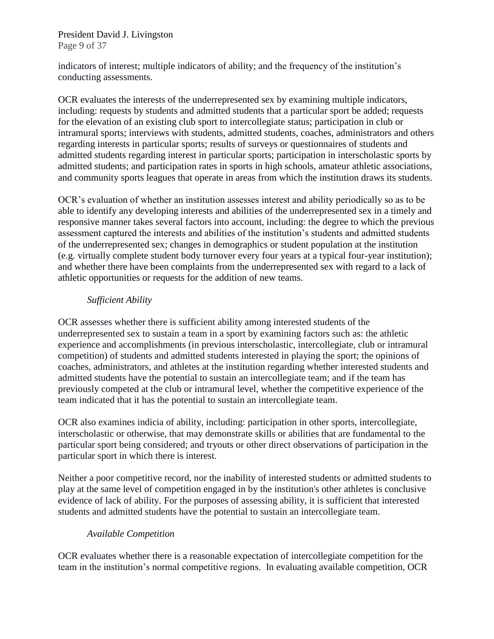President David J. Livingston Page 9 of 37

indicators of interest; multiple indicators of ability; and the frequency of the institution's conducting assessments.

OCR evaluates the interests of the underrepresented sex by examining multiple indicators, including: requests by students and admitted students that a particular sport be added; requests for the elevation of an existing club sport to intercollegiate status; participation in club or intramural sports; interviews with students, admitted students, coaches, administrators and others regarding interests in particular sports; results of surveys or questionnaires of students and admitted students regarding interest in particular sports; participation in interscholastic sports by admitted students; and participation rates in sports in high schools, amateur athletic associations, and community sports leagues that operate in areas from which the institution draws its students.

OCR's evaluation of whether an institution assesses interest and ability periodically so as to be able to identify any developing interests and abilities of the underrepresented sex in a timely and responsive manner takes several factors into account, including: the degree to which the previous assessment captured the interests and abilities of the institution's students and admitted students of the underrepresented sex; changes in demographics or student population at the institution (e.g. virtually complete student body turnover every four years at a typical four-year institution); and whether there have been complaints from the underrepresented sex with regard to a lack of athletic opportunities or requests for the addition of new teams.

#### *Sufficient Ability*

OCR assesses whether there is sufficient ability among interested students of the underrepresented sex to sustain a team in a sport by examining factors such as: the athletic experience and accomplishments (in previous interscholastic, intercollegiate, club or intramural competition) of students and admitted students interested in playing the sport; the opinions of coaches, administrators, and athletes at the institution regarding whether interested students and admitted students have the potential to sustain an intercollegiate team; and if the team has previously competed at the club or intramural level, whether the competitive experience of the team indicated that it has the potential to sustain an intercollegiate team.

OCR also examines indicia of ability, including: participation in other sports, intercollegiate, interscholastic or otherwise, that may demonstrate skills or abilities that are fundamental to the particular sport being considered; and tryouts or other direct observations of participation in the particular sport in which there is interest.

Neither a poor competitive record, nor the inability of interested students or admitted students to play at the same level of competition engaged in by the institution's other athletes is conclusive evidence of lack of ability. For the purposes of assessing ability, it is sufficient that interested students and admitted students have the potential to sustain an intercollegiate team.

## *Available Competition*

OCR evaluates whether there is a reasonable expectation of intercollegiate competition for the team in the institution's normal competitive regions. In evaluating available competition, OCR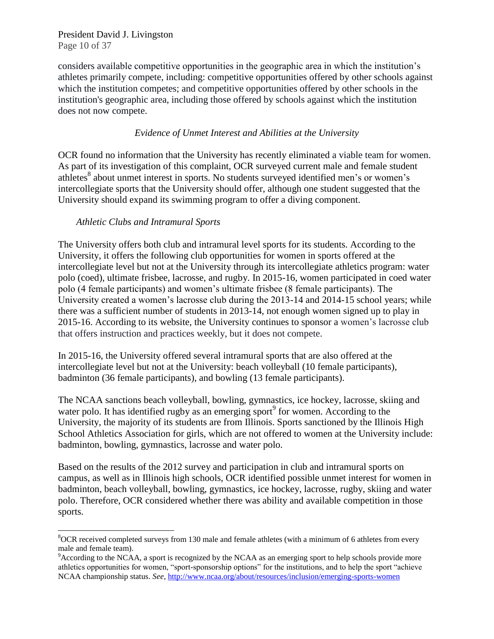President David J. Livingston Page 10 of 37

considers available competitive opportunities in the geographic area in which the institution's athletes primarily compete, including: competitive opportunities offered by other schools against which the institution competes; and competitive opportunities offered by other schools in the institution's geographic area, including those offered by schools against which the institution does not now compete.

#### *Evidence of Unmet Interest and Abilities at the University*

OCR found no information that the University has recently eliminated a viable team for women. As part of its investigation of this complaint, OCR surveyed current male and female student athletes<sup>8</sup> about unmet interest in sports. No students surveyed identified men's or women's intercollegiate sports that the University should offer, although one student suggested that the University should expand its swimming program to offer a diving component.

## *Athletic Clubs and Intramural Sports*

 $\overline{\phantom{a}}$ 

The University offers both club and intramural level sports for its students. According to the University, it offers the following club opportunities for women in sports offered at the intercollegiate level but not at the University through its intercollegiate athletics program: water polo (coed), ultimate frisbee, lacrosse, and rugby. In 2015-16, women participated in coed water polo (4 female participants) and women's ultimate frisbee (8 female participants). The University created a women's lacrosse club during the 2013-14 and 2014-15 school years; while there was a sufficient number of students in 2013-14, not enough women signed up to play in 2015-16. According to its website, the University continues to sponsor a women's lacrosse club that offers instruction and practices weekly, but it does not compete.

In 2015-16, the University offered several intramural sports that are also offered at the intercollegiate level but not at the University: beach volleyball (10 female participants), badminton (36 female participants), and bowling (13 female participants).

The NCAA sanctions beach volleyball, bowling, gymnastics, ice hockey, lacrosse, skiing and water polo. It has identified rugby as an emerging sport $\degree$  for women. According to the University, the majority of its students are from Illinois. Sports sanctioned by the Illinois High School Athletics Association for girls, which are not offered to women at the University include: badminton, bowling, gymnastics, lacrosse and water polo.

Based on the results of the 2012 survey and participation in club and intramural sports on campus, as well as in Illinois high schools, OCR identified possible unmet interest for women in badminton, beach volleyball, bowling, gymnastics, ice hockey, lacrosse, rugby, skiing and water polo. Therefore, OCR considered whether there was ability and available competition in those sports.

 $8$ OCR received completed surveys from 130 male and female athletes (with a minimum of 6 athletes from every male and female team).

 $9$ According to the NCAA, a sport is recognized by the NCAA as an emerging sport to help schools provide more athletics opportunities for women, "sport-sponsorship options" for the institutions, and to help the sport "achieve NCAA championship status. *See*,<http://www.ncaa.org/about/resources/inclusion/emerging-sports-women>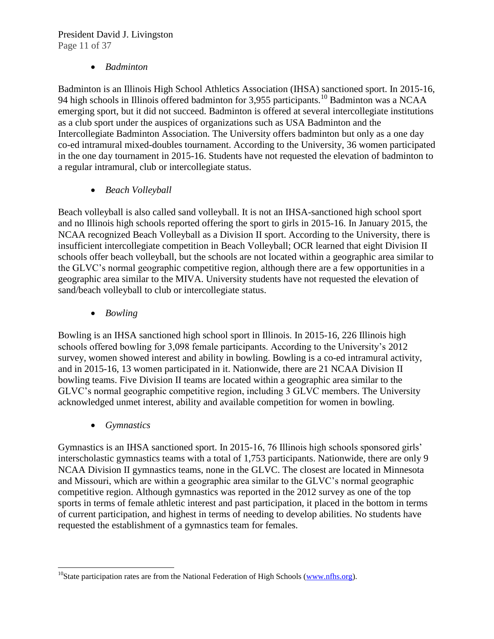# President David J. Livingston Page 11 of 37

## *Badminton*

Badminton is an Illinois High School Athletics Association (IHSA) sanctioned sport. In 2015-16, 94 high schools in Illinois offered badminton for 3,955 participants.<sup>10</sup> Badminton was a NCAA emerging sport, but it did not succeed. Badminton is offered at several intercollegiate institutions as a club sport under the auspices of organizations such as USA Badminton and the Intercollegiate Badminton Association. The University offers badminton but only as a one day co-ed intramural mixed-doubles tournament. According to the University, 36 women participated in the one day tournament in 2015-16. Students have not requested the elevation of badminton to a regular intramural, club or intercollegiate status.

*Beach Volleyball*

Beach volleyball is also called sand volleyball. It is not an IHSA-sanctioned high school sport and no Illinois high schools reported offering the sport to girls in 2015-16. In January 2015, the NCAA recognized Beach Volleyball as a Division II sport. According to the University, there is insufficient intercollegiate competition in Beach Volleyball; OCR learned that eight Division II schools offer beach volleyball, but the schools are not located within a geographic area similar to the GLVC's normal geographic competitive region, although there are a few opportunities in a geographic area similar to the MIVA. University students have not requested the elevation of sand/beach volleyball to club or intercollegiate status.

*Bowling*

Bowling is an IHSA sanctioned high school sport in Illinois. In 2015-16, 226 Illinois high schools offered bowling for 3,098 female participants. According to the University's 2012 survey, women showed interest and ability in bowling. Bowling is a co-ed intramural activity, and in 2015-16, 13 women participated in it. Nationwide, there are 21 NCAA Division II bowling teams. Five Division II teams are located within a geographic area similar to the GLVC's normal geographic competitive region, including 3 GLVC members. The University acknowledged unmet interest, ability and available competition for women in bowling.

*Gymnastics*

l

Gymnastics is an IHSA sanctioned sport. In 2015-16, 76 Illinois high schools sponsored girls' interscholastic gymnastics teams with a total of 1,753 participants. Nationwide, there are only 9 NCAA Division II gymnastics teams, none in the GLVC. The closest are located in Minnesota and Missouri, which are within a geographic area similar to the GLVC's normal geographic competitive region. Although gymnastics was reported in the 2012 survey as one of the top sports in terms of female athletic interest and past participation, it placed in the bottom in terms of current participation, and highest in terms of needing to develop abilities. No students have requested the establishment of a gymnastics team for females.

<sup>&</sup>lt;sup>10</sup>State participation rates are from the National Federation of High Schools [\(www.nfhs.org\)](file:///C:/Users/Judith/Desktop/www.nfhs.org).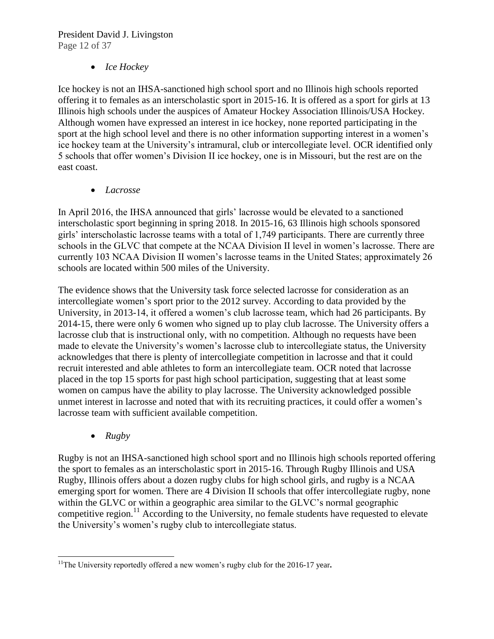# President David J. Livingston Page 12 of 37

# *Ice Hockey*

Ice hockey is not an IHSA-sanctioned high school sport and no Illinois high schools reported offering it to females as an interscholastic sport in 2015-16. It is offered as a sport for girls at 13 Illinois high schools under the auspices of Amateur Hockey Association Illinois/USA Hockey. Although women have expressed an interest in ice hockey, none reported participating in the sport at the high school level and there is no other information supporting interest in a women's ice hockey team at the University's intramural, club or intercollegiate level. OCR identified only 5 schools that offer women's Division II ice hockey, one is in Missouri, but the rest are on the east coast.

*Lacrosse* 

In April 2016, the IHSA announced that girls' lacrosse would be elevated to a sanctioned interscholastic sport beginning in spring 2018. In 2015-16, 63 Illinois high schools sponsored girls' interscholastic lacrosse teams with a total of 1,749 participants. There are currently three schools in the GLVC that compete at the NCAA Division II level in women's lacrosse. There are currently 103 NCAA Division II women's lacrosse teams in the United States; approximately 26 schools are located within 500 miles of the University.

The evidence shows that the University task force selected lacrosse for consideration as an intercollegiate women's sport prior to the 2012 survey. According to data provided by the University, in 2013-14, it offered a women's club lacrosse team, which had 26 participants. By 2014-15, there were only 6 women who signed up to play club lacrosse. The University offers a lacrosse club that is instructional only, with no competition. Although no requests have been made to elevate the University's women's lacrosse club to intercollegiate status, the University acknowledges that there is plenty of intercollegiate competition in lacrosse and that it could recruit interested and able athletes to form an intercollegiate team. OCR noted that lacrosse placed in the top 15 sports for past high school participation, suggesting that at least some women on campus have the ability to play lacrosse. The University acknowledged possible unmet interest in lacrosse and noted that with its recruiting practices, it could offer a women's lacrosse team with sufficient available competition.

*Rugby*

Rugby is not an IHSA-sanctioned high school sport and no Illinois high schools reported offering the sport to females as an interscholastic sport in 2015-16. Through Rugby Illinois and USA Rugby, Illinois offers about a dozen rugby clubs for high school girls, and rugby is a NCAA emerging sport for women. There are 4 Division II schools that offer intercollegiate rugby, none within the GLVC or within a geographic area similar to the GLVC's normal geographic competitive region.<sup>11</sup> According to the University, no female students have requested to elevate the University's women's rugby club to intercollegiate status.

 $\overline{\phantom{a}}$ <sup>11</sup>The University reportedly offered a new women's rugby club for the 2016-17 year.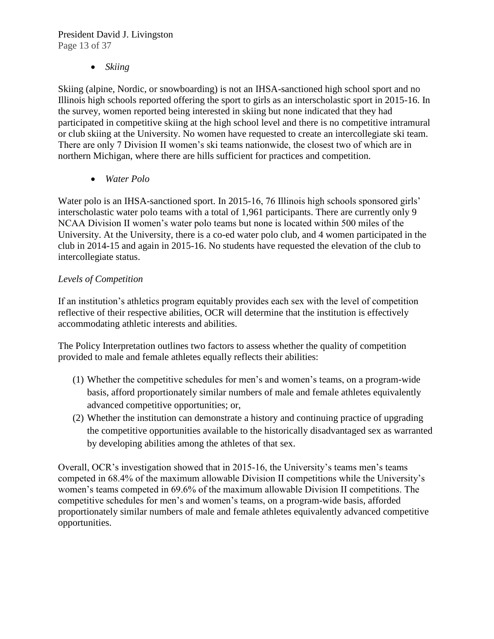President David J. Livingston Page 13 of 37

*Skiing* 

Skiing (alpine, Nordic, or snowboarding) is not an IHSA-sanctioned high school sport and no Illinois high schools reported offering the sport to girls as an interscholastic sport in 2015-16. In the survey, women reported being interested in skiing but none indicated that they had participated in competitive skiing at the high school level and there is no competitive intramural or club skiing at the University. No women have requested to create an intercollegiate ski team. There are only 7 Division II women's ski teams nationwide, the closest two of which are in northern Michigan, where there are hills sufficient for practices and competition.

*Water Polo* 

Water polo is an IHSA-sanctioned sport. In 2015-16, 76 Illinois high schools sponsored girls' interscholastic water polo teams with a total of 1,961 participants. There are currently only 9 NCAA Division II women's water polo teams but none is located within 500 miles of the University. At the University, there is a co-ed water polo club, and 4 women participated in the club in 2014-15 and again in 2015-16. No students have requested the elevation of the club to intercollegiate status.

# *Levels of Competition*

If an institution's athletics program equitably provides each sex with the level of competition reflective of their respective abilities, OCR will determine that the institution is effectively accommodating athletic interests and abilities.

The Policy Interpretation outlines two factors to assess whether the quality of competition provided to male and female athletes equally reflects their abilities:

- (1) Whether the competitive schedules for men's and women's teams, on a program-wide basis, afford proportionately similar numbers of male and female athletes equivalently advanced competitive opportunities; or,
- (2) Whether the institution can demonstrate a history and continuing practice of upgrading the competitive opportunities available to the historically disadvantaged sex as warranted by developing abilities among the athletes of that sex.

Overall, OCR's investigation showed that in 2015-16, the University's teams men's teams competed in 68.4% of the maximum allowable Division II competitions while the University's women's teams competed in 69.6% of the maximum allowable Division II competitions. The competitive schedules for men's and women's teams, on a program-wide basis, afforded proportionately similar numbers of male and female athletes equivalently advanced competitive opportunities.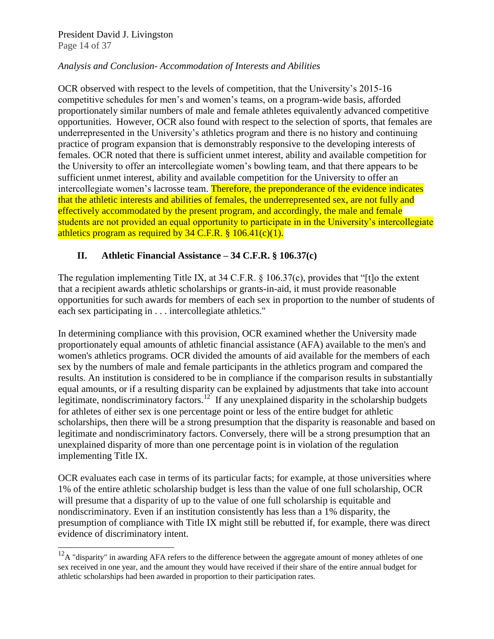President David J. Livingston Page 14 of 37

l

#### *Analysis and Conclusion- Accommodation of Interests and Abilities*

OCR observed with respect to the levels of competition, that the University's 2015-16 competitive schedules for men's and women's teams, on a program-wide basis, afforded proportionately similar numbers of male and female athletes equivalently advanced competitive opportunities. However, OCR also found with respect to the selection of sports, that females are underrepresented in the University's athletics program and there is no history and continuing practice of program expansion that is demonstrably responsive to the developing interests of females. OCR noted that there is sufficient unmet interest, ability and available competition for the University to offer an intercollegiate women's bowling team, and that there appears to be sufficient unmet interest, ability and available competition for the University to offer an intercollegiate women's lacrosse team. Therefore, the preponderance of the evidence indicates that the athletic interests and abilities of females, the underrepresented sex, are not fully and effectively accommodated by the present program, and accordingly, the male and female students are not provided an equal opportunity to participate in in the University's intercollegiate athletics program as required by  $34 \text{ C.F.R.}$  §  $106.41(c)(1)$ .

## **II. Athletic Financial Assistance – 34 C.F.R. § 106.37(c)**

The regulation implementing Title IX, at 34 C.F.R. § 106.37(c), provides that "[t]o the extent that a recipient awards athletic scholarships or grants-in-aid, it must provide reasonable opportunities for such awards for members of each sex in proportion to the number of students of each sex participating in . . . intercollegiate athletics."

In determining compliance with this provision, OCR examined whether the University made proportionately equal amounts of athletic financial assistance (AFA) available to the men's and women's athletics programs. OCR divided the amounts of aid available for the members of each sex by the numbers of male and female participants in the athletics program and compared the results. An institution is considered to be in compliance if the comparison results in substantially equal amounts, or if a resulting disparity can be explained by adjustments that take into account legitimate, nondiscriminatory factors.<sup>12</sup> If any unexplained disparity in the scholarship budgets for athletes of either sex is one percentage point or less of the entire budget for athletic scholarships, then there will be a strong presumption that the disparity is reasonable and based on legitimate and nondiscriminatory factors. Conversely, there will be a strong presumption that an unexplained disparity of more than one percentage point is in violation of the regulation implementing Title IX.

OCR evaluates each case in terms of its particular facts; for example, at those universities where 1% of the entire athletic scholarship budget is less than the value of one full scholarship, OCR will presume that a disparity of up to the value of one full scholarship is equitable and nondiscriminatory. Even if an institution consistently has less than a 1% disparity, the presumption of compliance with Title IX might still be rebutted if, for example, there was direct evidence of discriminatory intent.

 $12<sup>12</sup>A$  "disparity" in awarding AFA refers to the difference between the aggregate amount of money athletes of one sex received in one year, and the amount they would have received if their share of the entire annual budget for athletic scholarships had been awarded in proportion to their participation rates.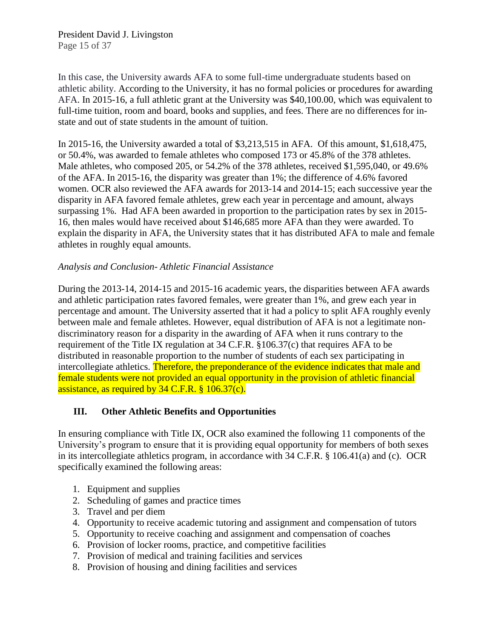In this case, the University awards AFA to some full-time undergraduate students based on athletic ability. According to the University, it has no formal policies or procedures for awarding AFA. In 2015-16, a full athletic grant at the University was \$40,100.00, which was equivalent to full-time tuition, room and board, books and supplies, and fees. There are no differences for instate and out of state students in the amount of tuition.

In 2015-16, the University awarded a total of \$3,213,515 in AFA. Of this amount, \$1,618,475, or 50.4%, was awarded to female athletes who composed 173 or 45.8% of the 378 athletes. Male athletes, who composed 205, or 54.2% of the 378 athletes, received \$1,595,040, or 49.6% of the AFA. In 2015-16, the disparity was greater than 1%; the difference of 4.6% favored women. OCR also reviewed the AFA awards for 2013-14 and 2014-15; each successive year the disparity in AFA favored female athletes, grew each year in percentage and amount, always surpassing 1%. Had AFA been awarded in proportion to the participation rates by sex in 2015- 16, then males would have received about \$146,685 more AFA than they were awarded. To explain the disparity in AFA, the University states that it has distributed AFA to male and female athletes in roughly equal amounts.

## *Analysis and Conclusion- Athletic Financial Assistance*

During the 2013-14, 2014-15 and 2015-16 academic years, the disparities between AFA awards and athletic participation rates favored females, were greater than 1%, and grew each year in percentage and amount. The University asserted that it had a policy to split AFA roughly evenly between male and female athletes. However, equal distribution of AFA is not a legitimate nondiscriminatory reason for a disparity in the awarding of AFA when it runs contrary to the requirement of the Title IX regulation at 34 C.F.R. §106.37(c) that requires AFA to be distributed in reasonable proportion to the number of students of each sex participating in intercollegiate athletics. Therefore, the preponderance of the evidence indicates that male and female students were not provided an equal opportunity in the provision of athletic financial assistance, as required by 34 C.F.R. § 106.37(c).

## **III. Other Athletic Benefits and Opportunities**

In ensuring compliance with Title IX, OCR also examined the following 11 components of the University's program to ensure that it is providing equal opportunity for members of both sexes in its intercollegiate athletics program, in accordance with 34 C.F.R. § 106.41(a) and (c). OCR specifically examined the following areas:

- 1. Equipment and supplies
- 2. Scheduling of games and practice times
- 3. Travel and per diem
- 4. Opportunity to receive academic tutoring and assignment and compensation of tutors
- 5. Opportunity to receive coaching and assignment and compensation of coaches
- 6. Provision of locker rooms, practice, and competitive facilities
- 7. Provision of medical and training facilities and services
- 8. Provision of housing and dining facilities and services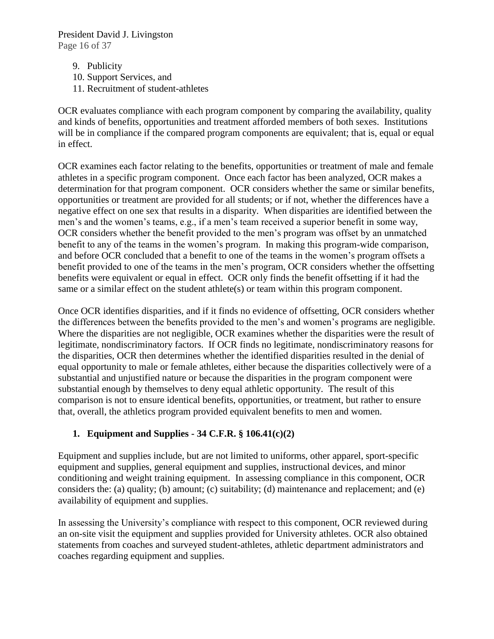President David J. Livingston Page 16 of 37

- 9. Publicity
- 10. Support Services, and
- 11. Recruitment of student-athletes

OCR evaluates compliance with each program component by comparing the availability, quality and kinds of benefits, opportunities and treatment afforded members of both sexes. Institutions will be in compliance if the compared program components are equivalent; that is, equal or equal in effect.

OCR examines each factor relating to the benefits, opportunities or treatment of male and female athletes in a specific program component. Once each factor has been analyzed, OCR makes a determination for that program component. OCR considers whether the same or similar benefits, opportunities or treatment are provided for all students; or if not, whether the differences have a negative effect on one sex that results in a disparity. When disparities are identified between the men's and the women's teams, e.g., if a men's team received a superior benefit in some way, OCR considers whether the benefit provided to the men's program was offset by an unmatched benefit to any of the teams in the women's program. In making this program-wide comparison, and before OCR concluded that a benefit to one of the teams in the women's program offsets a benefit provided to one of the teams in the men's program, OCR considers whether the offsetting benefits were equivalent or equal in effect. OCR only finds the benefit offsetting if it had the same or a similar effect on the student athlete(s) or team within this program component.

Once OCR identifies disparities, and if it finds no evidence of offsetting, OCR considers whether the differences between the benefits provided to the men's and women's programs are negligible. Where the disparities are not negligible, OCR examines whether the disparities were the result of legitimate, nondiscriminatory factors. If OCR finds no legitimate, nondiscriminatory reasons for the disparities, OCR then determines whether the identified disparities resulted in the denial of equal opportunity to male or female athletes, either because the disparities collectively were of a substantial and unjustified nature or because the disparities in the program component were substantial enough by themselves to deny equal athletic opportunity. The result of this comparison is not to ensure identical benefits, opportunities, or treatment, but rather to ensure that, overall, the athletics program provided equivalent benefits to men and women.

# **1. Equipment and Supplies - 34 C.F.R. § 106.41(c)(2)**

Equipment and supplies include, but are not limited to uniforms, other apparel, sport-specific equipment and supplies, general equipment and supplies, instructional devices, and minor conditioning and weight training equipment. In assessing compliance in this component, OCR considers the: (a) quality; (b) amount; (c) suitability; (d) maintenance and replacement; and (e) availability of equipment and supplies.

In assessing the University's compliance with respect to this component, OCR reviewed during an on-site visit the equipment and supplies provided for University athletes. OCR also obtained statements from coaches and surveyed student-athletes, athletic department administrators and coaches regarding equipment and supplies.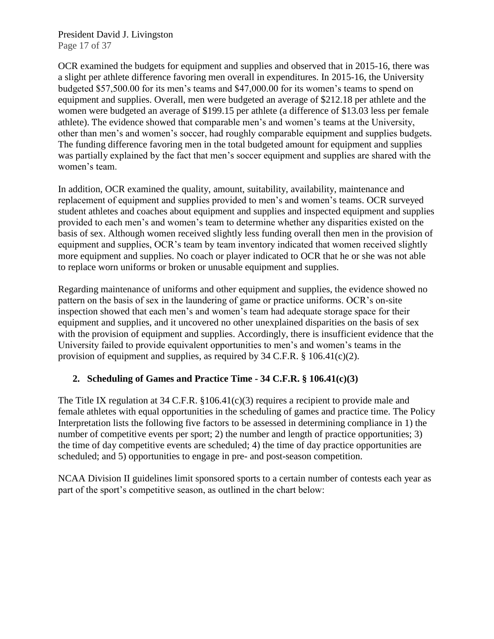President David J. Livingston Page 17 of 37

OCR examined the budgets for equipment and supplies and observed that in 2015-16, there was a slight per athlete difference favoring men overall in expenditures. In 2015-16, the University budgeted \$57,500.00 for its men's teams and \$47,000.00 for its women's teams to spend on equipment and supplies. Overall, men were budgeted an average of \$212.18 per athlete and the women were budgeted an average of \$199.15 per athlete (a difference of \$13.03 less per female athlete). The evidence showed that comparable men's and women's teams at the University, other than men's and women's soccer, had roughly comparable equipment and supplies budgets. The funding difference favoring men in the total budgeted amount for equipment and supplies was partially explained by the fact that men's soccer equipment and supplies are shared with the women's team.

In addition, OCR examined the quality, amount, suitability, availability, maintenance and replacement of equipment and supplies provided to men's and women's teams. OCR surveyed student athletes and coaches about equipment and supplies and inspected equipment and supplies provided to each men's and women's team to determine whether any disparities existed on the basis of sex. Although women received slightly less funding overall then men in the provision of equipment and supplies, OCR's team by team inventory indicated that women received slightly more equipment and supplies. No coach or player indicated to OCR that he or she was not able to replace worn uniforms or broken or unusable equipment and supplies.

Regarding maintenance of uniforms and other equipment and supplies, the evidence showed no pattern on the basis of sex in the laundering of game or practice uniforms. OCR's on-site inspection showed that each men's and women's team had adequate storage space for their equipment and supplies, and it uncovered no other unexplained disparities on the basis of sex with the provision of equipment and supplies. Accordingly, there is insufficient evidence that the University failed to provide equivalent opportunities to men's and women's teams in the provision of equipment and supplies, as required by 34 C.F.R. § 106.41(c)(2).

## **2. Scheduling of Games and Practice Time - 34 C.F.R. § 106.41(c)(3)**

The Title IX regulation at 34 C.F.R. §106.41(c)(3) requires a recipient to provide male and female athletes with equal opportunities in the scheduling of games and practice time. The Policy Interpretation lists the following five factors to be assessed in determining compliance in 1) the number of competitive events per sport; 2) the number and length of practice opportunities; 3) the time of day competitive events are scheduled; 4) the time of day practice opportunities are scheduled; and 5) opportunities to engage in pre- and post-season competition.

NCAA Division II guidelines limit sponsored sports to a certain number of contests each year as part of the sport's competitive season, as outlined in the chart below: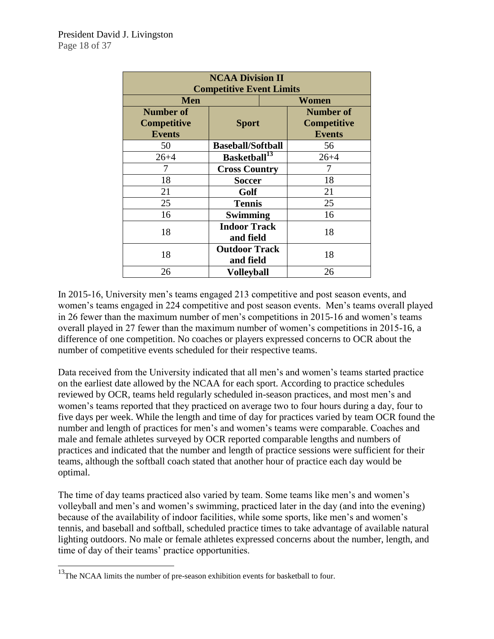| <b>NCAA Division II</b><br><b>Competitive Event Limits</b> |                                   |       |                    |  |  |  |
|------------------------------------------------------------|-----------------------------------|-------|--------------------|--|--|--|
| <b>Men</b>                                                 |                                   | Women |                    |  |  |  |
| <b>Number of</b>                                           | <b>Sport</b>                      |       | <b>Number of</b>   |  |  |  |
| <b>Competitive</b>                                         |                                   |       | <b>Competitive</b> |  |  |  |
| <b>Events</b>                                              |                                   |       | <b>Events</b>      |  |  |  |
| 50                                                         | <b>Baseball/Softball</b>          |       | 56                 |  |  |  |
| $26 + 4$                                                   | Basketball <sup>13</sup>          |       | $26 + 4$           |  |  |  |
|                                                            | <b>Cross Country</b>              |       |                    |  |  |  |
| 18                                                         | <b>Soccer</b>                     |       | 18                 |  |  |  |
| 21                                                         | Golf                              |       | 21                 |  |  |  |
| 25                                                         | <b>Tennis</b>                     |       | 25                 |  |  |  |
| 16                                                         | <b>Swimming</b>                   |       | 16                 |  |  |  |
| 18                                                         | <b>Indoor Track</b><br>and field  |       | 18                 |  |  |  |
| 18                                                         | <b>Outdoor Track</b><br>and field |       | 18                 |  |  |  |
| 26                                                         | <b>Volleyball</b>                 |       | 26                 |  |  |  |

In 2015-16, University men's teams engaged 213 competitive and post season events, and women's teams engaged in 224 competitive and post season events. Men's teams overall played in 26 fewer than the maximum number of men's competitions in 2015-16 and women's teams overall played in 27 fewer than the maximum number of women's competitions in 2015-16, a difference of one competition. No coaches or players expressed concerns to OCR about the number of competitive events scheduled for their respective teams.

Data received from the University indicated that all men's and women's teams started practice on the earliest date allowed by the NCAA for each sport. According to practice schedules reviewed by OCR, teams held regularly scheduled in-season practices, and most men's and women's teams reported that they practiced on average two to four hours during a day, four to five days per week. While the length and time of day for practices varied by team OCR found the number and length of practices for men's and women's teams were comparable. Coaches and male and female athletes surveyed by OCR reported comparable lengths and numbers of practices and indicated that the number and length of practice sessions were sufficient for their teams, although the softball coach stated that another hour of practice each day would be optimal.

The time of day teams practiced also varied by team. Some teams like men's and women's volleyball and men's and women's swimming, practiced later in the day (and into the evening) because of the availability of indoor facilities, while some sports, like men's and women's tennis, and baseball and softball, scheduled practice times to take advantage of available natural lighting outdoors. No male or female athletes expressed concerns about the number, length, and time of day of their teams' practice opportunities.

l

 $13$ The NCAA limits the number of pre-season exhibition events for basketball to four.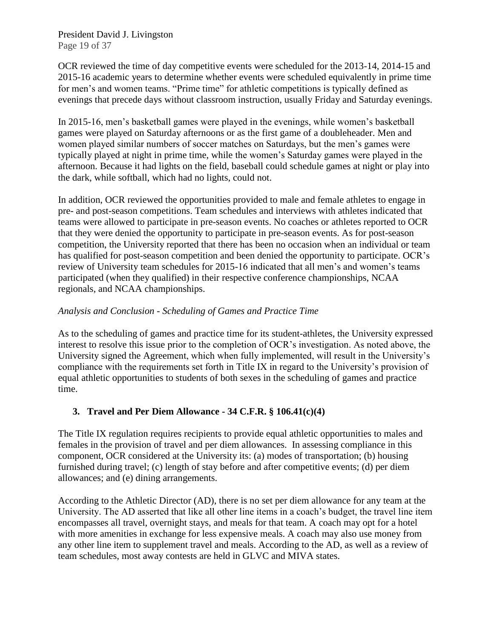President David J. Livingston Page 19 of 37

OCR reviewed the time of day competitive events were scheduled for the 2013-14, 2014-15 and 2015-16 academic years to determine whether events were scheduled equivalently in prime time for men's and women teams. "Prime time" for athletic competitions is typically defined as evenings that precede days without classroom instruction, usually Friday and Saturday evenings.

In 2015-16, men's basketball games were played in the evenings, while women's basketball games were played on Saturday afternoons or as the first game of a doubleheader. Men and women played similar numbers of soccer matches on Saturdays, but the men's games were typically played at night in prime time, while the women's Saturday games were played in the afternoon. Because it had lights on the field, baseball could schedule games at night or play into the dark, while softball, which had no lights, could not.

In addition, OCR reviewed the opportunities provided to male and female athletes to engage in pre- and post-season competitions. Team schedules and interviews with athletes indicated that teams were allowed to participate in pre-season events. No coaches or athletes reported to OCR that they were denied the opportunity to participate in pre-season events. As for post-season competition, the University reported that there has been no occasion when an individual or team has qualified for post-season competition and been denied the opportunity to participate. OCR's review of University team schedules for 2015-16 indicated that all men's and women's teams participated (when they qualified) in their respective conference championships, NCAA regionals, and NCAA championships.

## *Analysis and Conclusion - Scheduling of Games and Practice Time*

As to the scheduling of games and practice time for its student-athletes, the University expressed interest to resolve this issue prior to the completion of OCR's investigation. As noted above, the University signed the Agreement, which when fully implemented, will result in the University's compliance with the requirements set forth in Title IX in regard to the University's provision of equal athletic opportunities to students of both sexes in the scheduling of games and practice time.

## **3. Travel and Per Diem Allowance - 34 C.F.R. § 106.41(c)(4)**

The Title IX regulation requires recipients to provide equal athletic opportunities to males and females in the provision of travel and per diem allowances. In assessing compliance in this component, OCR considered at the University its: (a) modes of transportation; (b) housing furnished during travel; (c) length of stay before and after competitive events; (d) per diem allowances; and (e) dining arrangements.

According to the Athletic Director (AD), there is no set per diem allowance for any team at the University. The AD asserted that like all other line items in a coach's budget, the travel line item encompasses all travel, overnight stays, and meals for that team. A coach may opt for a hotel with more amenities in exchange for less expensive meals. A coach may also use money from any other line item to supplement travel and meals. According to the AD, as well as a review of team schedules, most away contests are held in GLVC and MIVA states.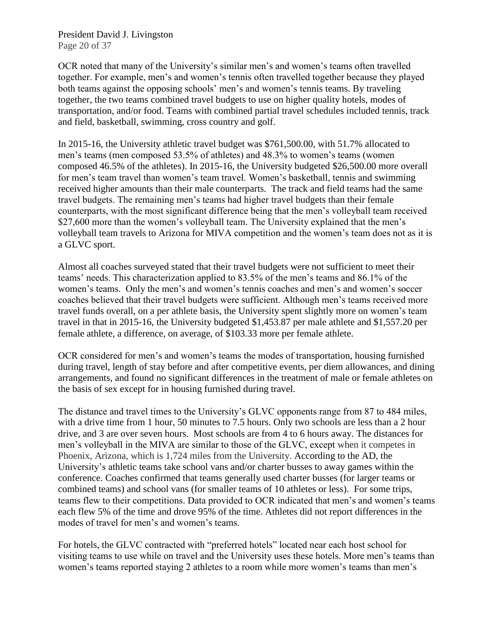President David J. Livingston Page 20 of 37

OCR noted that many of the University's similar men's and women's teams often travelled together. For example, men's and women's tennis often travelled together because they played both teams against the opposing schools' men's and women's tennis teams. By traveling together, the two teams combined travel budgets to use on higher quality hotels, modes of transportation, and/or food. Teams with combined partial travel schedules included tennis, track and field, basketball, swimming, cross country and golf.

In 2015-16, the University athletic travel budget was \$761,500.00, with 51.7% allocated to men's teams (men composed 53.5% of athletes) and 48.3% to women's teams (women composed 46.5% of the athletes). In 2015-16, the University budgeted \$26,500.00 more overall for men's team travel than women's team travel. Women's basketball, tennis and swimming received higher amounts than their male counterparts. The track and field teams had the same travel budgets. The remaining men's teams had higher travel budgets than their female counterparts, with the most significant difference being that the men's volleyball team received \$27,600 more than the women's volleyball team. The University explained that the men's volleyball team travels to Arizona for MIVA competition and the women's team does not as it is a GLVC sport.

Almost all coaches surveyed stated that their travel budgets were not sufficient to meet their teams' needs. This characterization applied to 83.5% of the men's teams and 86.1% of the women's teams. Only the men's and women's tennis coaches and men's and women's soccer coaches believed that their travel budgets were sufficient. Although men's teams received more travel funds overall, on a per athlete basis, the University spent slightly more on women's team travel in that in 2015-16, the University budgeted \$1,453.87 per male athlete and \$1,557.20 per female athlete, a difference, on average, of \$103.33 more per female athlete.

OCR considered for men's and women's teams the modes of transportation, housing furnished during travel, length of stay before and after competitive events, per diem allowances, and dining arrangements, and found no significant differences in the treatment of male or female athletes on the basis of sex except for in housing furnished during travel.

The distance and travel times to the University's GLVC opponents range from 87 to 484 miles, with a drive time from 1 hour, 50 minutes to 7.5 hours. Only two schools are less than a 2 hour drive, and 3 are over seven hours. Most schools are from 4 to 6 hours away. The distances for men's volleyball in the MIVA are similar to those of the GLVC, except when it competes in Phoenix, Arizona, which is 1,724 miles from the University. According to the AD, the University's athletic teams take school vans and/or charter busses to away games within the conference. Coaches confirmed that teams generally used charter busses (for larger teams or combined teams) and school vans (for smaller teams of 10 athletes or less). For some trips, teams flew to their competitions. Data provided to OCR indicated that men's and women's teams each flew 5% of the time and drove 95% of the time. Athletes did not report differences in the modes of travel for men's and women's teams.

For hotels, the GLVC contracted with "preferred hotels" located near each host school for visiting teams to use while on travel and the University uses these hotels. More men's teams than women's teams reported staying 2 athletes to a room while more women's teams than men's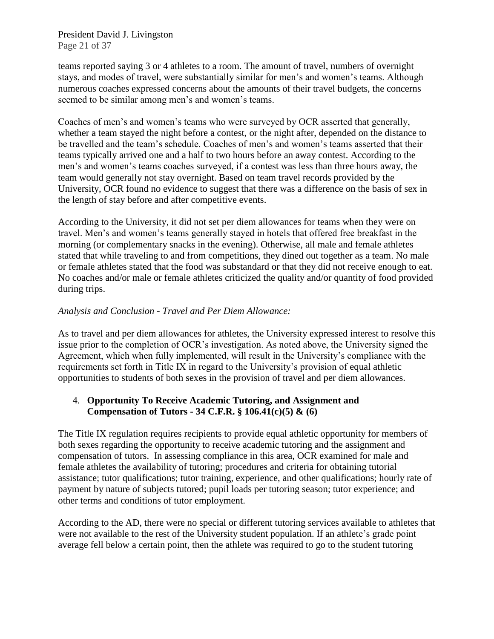President David J. Livingston Page 21 of 37

teams reported saying 3 or 4 athletes to a room. The amount of travel, numbers of overnight stays, and modes of travel, were substantially similar for men's and women's teams. Although numerous coaches expressed concerns about the amounts of their travel budgets, the concerns seemed to be similar among men's and women's teams.

Coaches of men's and women's teams who were surveyed by OCR asserted that generally, whether a team stayed the night before a contest, or the night after, depended on the distance to be travelled and the team's schedule. Coaches of men's and women's teams asserted that their teams typically arrived one and a half to two hours before an away contest. According to the men's and women's teams coaches surveyed, if a contest was less than three hours away, the team would generally not stay overnight. Based on team travel records provided by the University, OCR found no evidence to suggest that there was a difference on the basis of sex in the length of stay before and after competitive events.

According to the University, it did not set per diem allowances for teams when they were on travel. Men's and women's teams generally stayed in hotels that offered free breakfast in the morning (or complementary snacks in the evening). Otherwise, all male and female athletes stated that while traveling to and from competitions, they dined out together as a team. No male or female athletes stated that the food was substandard or that they did not receive enough to eat. No coaches and/or male or female athletes criticized the quality and/or quantity of food provided during trips.

#### *Analysis and Conclusion - Travel and Per Diem Allowance:*

As to travel and per diem allowances for athletes, the University expressed interest to resolve this issue prior to the completion of OCR's investigation. As noted above, the University signed the Agreement, which when fully implemented, will result in the University's compliance with the requirements set forth in Title IX in regard to the University's provision of equal athletic opportunities to students of both sexes in the provision of travel and per diem allowances.

#### 4. **Opportunity To Receive Academic Tutoring, and Assignment and Compensation of Tutors - 34 C.F.R. § 106.41(c)(5) & (6)**

The Title IX regulation requires recipients to provide equal athletic opportunity for members of both sexes regarding the opportunity to receive academic tutoring and the assignment and compensation of tutors. In assessing compliance in this area, OCR examined for male and female athletes the availability of tutoring; procedures and criteria for obtaining tutorial assistance; tutor qualifications; tutor training, experience, and other qualifications; hourly rate of payment by nature of subjects tutored; pupil loads per tutoring season; tutor experience; and other terms and conditions of tutor employment.

According to the AD, there were no special or different tutoring services available to athletes that were not available to the rest of the University student population. If an athlete's grade point average fell below a certain point, then the athlete was required to go to the student tutoring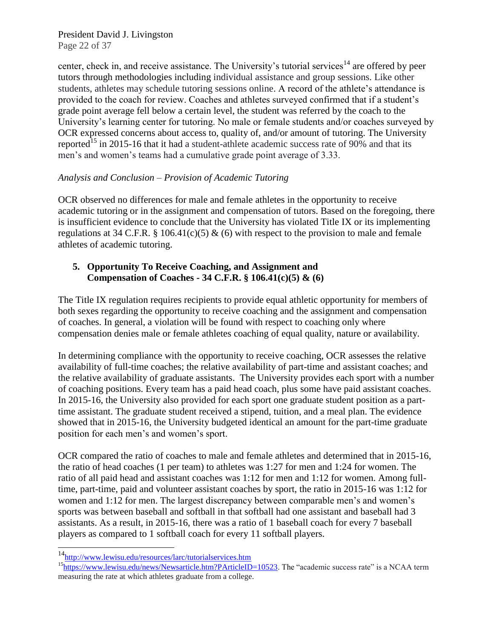President David J. Livingston Page 22 of 37

center, check in, and receive assistance. The University's tutorial services<sup>14</sup> are offered by peer tutors through methodologies including individual assistance and group sessions. Like other students, athletes may schedule tutoring sessions online. A record of the athlete's attendance is provided to the coach for review. Coaches and athletes surveyed confirmed that if a student's grade point average fell below a certain level, the student was referred by the coach to the University's learning center for tutoring. No male or female students and/or coaches surveyed by OCR expressed concerns about access to, quality of, and/or amount of tutoring. The University reported<sup>15</sup> in 2015-16 that it had a student-athlete academic success rate of 90% and that its men's and women's teams had a cumulative grade point average of 3.33.

#### *Analysis and Conclusion – Provision of Academic Tutoring*

OCR observed no differences for male and female athletes in the opportunity to receive academic tutoring or in the assignment and compensation of tutors. Based on the foregoing, there is insufficient evidence to conclude that the University has violated Title IX or its implementing regulations at 34 C.F.R. § 106.41(c)(5) & (6) with respect to the provision to male and female athletes of academic tutoring.

# **5. Opportunity To Receive Coaching, and Assignment and Compensation of Coaches - 34 C.F.R. § 106.41(c)(5) & (6)**

The Title IX regulation requires recipients to provide equal athletic opportunity for members of both sexes regarding the opportunity to receive coaching and the assignment and compensation of coaches. In general, a violation will be found with respect to coaching only where compensation denies male or female athletes coaching of equal quality, nature or availability.

In determining compliance with the opportunity to receive coaching, OCR assesses the relative availability of full-time coaches; the relative availability of part-time and assistant coaches; and the relative availability of graduate assistants. The University provides each sport with a number of coaching positions. Every team has a paid head coach, plus some have paid assistant coaches. In 2015-16, the University also provided for each sport one graduate student position as a parttime assistant. The graduate student received a stipend, tuition, and a meal plan. The evidence showed that in 2015-16, the University budgeted identical an amount for the part-time graduate position for each men's and women's sport.

OCR compared the ratio of coaches to male and female athletes and determined that in 2015-16, the ratio of head coaches (1 per team) to athletes was 1:27 for men and 1:24 for women. The ratio of all paid head and assistant coaches was 1:12 for men and 1:12 for women. Among fulltime, part-time, paid and volunteer assistant coaches by sport, the ratio in 2015-16 was 1:12 for women and 1:12 for men. The largest discrepancy between comparable men's and women's sports was between baseball and softball in that softball had one assistant and baseball had 3 assistants. As a result, in 2015-16, there was a ratio of 1 baseball coach for every 7 baseball players as compared to 1 softball coach for every 11 softball players.

l

<sup>&</sup>lt;sup>14</sup>http://www.lewisu.edu/resources/larc/tutorialservices.htm

<sup>&</sup>lt;sup>15</sup>[https://www.lewisu.edu/news/Newsarticle.htm?PArticleID=10523.](https://www.lewisu.edu/news/Newsarticle.htm?PArticleID=10523) The "academic success rate" is a NCAA term measuring the rate at which athletes graduate from a college.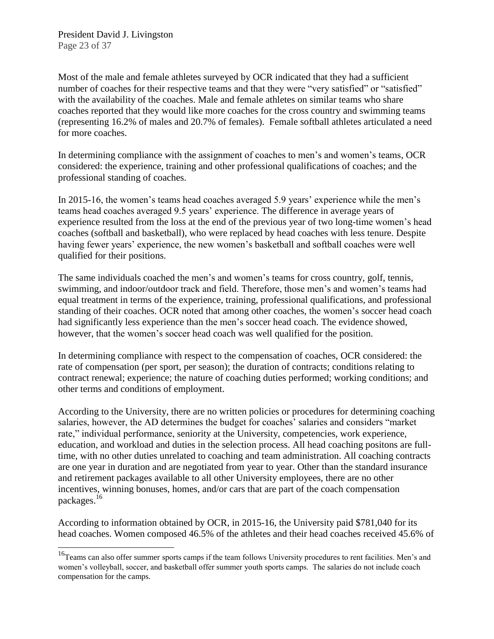l

Most of the male and female athletes surveyed by OCR indicated that they had a sufficient number of coaches for their respective teams and that they were "very satisfied" or "satisfied" with the availability of the coaches. Male and female athletes on similar teams who share coaches reported that they would like more coaches for the cross country and swimming teams (representing 16.2% of males and 20.7% of females). Female softball athletes articulated a need for more coaches.

In determining compliance with the assignment of coaches to men's and women's teams, OCR considered: the experience, training and other professional qualifications of coaches; and the professional standing of coaches.

In 2015-16, the women's teams head coaches averaged 5.9 years' experience while the men's teams head coaches averaged 9.5 years' experience. The difference in average years of experience resulted from the loss at the end of the previous year of two long-time women's head coaches (softball and basketball), who were replaced by head coaches with less tenure. Despite having fewer years' experience, the new women's basketball and softball coaches were well qualified for their positions.

The same individuals coached the men's and women's teams for cross country, golf, tennis, swimming, and indoor/outdoor track and field. Therefore, those men's and women's teams had equal treatment in terms of the experience, training, professional qualifications, and professional standing of their coaches. OCR noted that among other coaches, the women's soccer head coach had significantly less experience than the men's soccer head coach. The evidence showed, however, that the women's soccer head coach was well qualified for the position.

In determining compliance with respect to the compensation of coaches, OCR considered: the rate of compensation (per sport, per season); the duration of contracts; conditions relating to contract renewal; experience; the nature of coaching duties performed; working conditions; and other terms and conditions of employment.

According to the University, there are no written policies or procedures for determining coaching salaries, however, the AD determines the budget for coaches' salaries and considers "market rate," individual performance, seniority at the University, competencies, work experience, education, and workload and duties in the selection process. All head coaching positons are fulltime, with no other duties unrelated to coaching and team administration. All coaching contracts are one year in duration and are negotiated from year to year. Other than the standard insurance and retirement packages available to all other University employees, there are no other incentives, winning bonuses, homes, and/or cars that are part of the coach compensation packages.<sup>16</sup>

According to information obtained by OCR, in 2015-16, the University paid \$781,040 for its head coaches. Women composed 46.5% of the athletes and their head coaches received 45.6% of

<sup>&</sup>lt;sup>16</sup>Teams can also offer summer sports camps if the team follows University procedures to rent facilities. Men's and women's volleyball, soccer, and basketball offer summer youth sports camps. The salaries do not include coach compensation for the camps.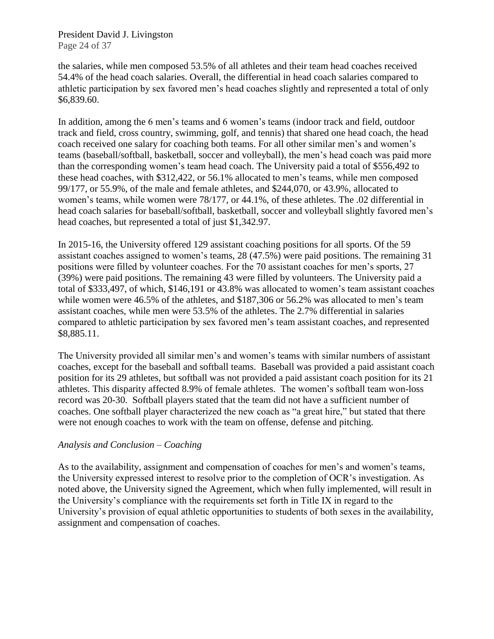President David J. Livingston Page 24 of 37

the salaries, while men composed 53.5% of all athletes and their team head coaches received 54.4% of the head coach salaries. Overall, the differential in head coach salaries compared to athletic participation by sex favored men's head coaches slightly and represented a total of only \$6,839.60.

In addition, among the 6 men's teams and 6 women's teams (indoor track and field, outdoor track and field, cross country, swimming, golf, and tennis) that shared one head coach, the head coach received one salary for coaching both teams. For all other similar men's and women's teams (baseball/softball, basketball, soccer and volleyball), the men's head coach was paid more than the corresponding women's team head coach. The University paid a total of \$556,492 to these head coaches, with \$312,422, or 56.1% allocated to men's teams, while men composed 99/177, or 55.9%, of the male and female athletes, and \$244,070, or 43.9%, allocated to women's teams, while women were 78/177, or 44.1%, of these athletes. The .02 differential in head coach salaries for baseball/softball, basketball, soccer and volleyball slightly favored men's head coaches, but represented a total of just \$1,342.97.

In 2015-16, the University offered 129 assistant coaching positions for all sports. Of the 59 assistant coaches assigned to women's teams, 28 (47.5%) were paid positions. The remaining 31 positions were filled by volunteer coaches. For the 70 assistant coaches for men's sports, 27 (39%) were paid positions. The remaining 43 were filled by volunteers. The University paid a total of \$333,497, of which, \$146,191 or 43.8% was allocated to women's team assistant coaches while women were 46.5% of the athletes, and \$187,306 or 56.2% was allocated to men's team assistant coaches, while men were 53.5% of the athletes. The 2.7% differential in salaries compared to athletic participation by sex favored men's team assistant coaches, and represented \$8,885.11.

The University provided all similar men's and women's teams with similar numbers of assistant coaches, except for the baseball and softball teams. Baseball was provided a paid assistant coach position for its 29 athletes, but softball was not provided a paid assistant coach position for its 21 athletes. This disparity affected 8.9% of female athletes. The women's softball team won-loss record was 20-30. Softball players stated that the team did not have a sufficient number of coaches. One softball player characterized the new coach as "a great hire," but stated that there were not enough coaches to work with the team on offense, defense and pitching.

#### *Analysis and Conclusion – Coaching*

As to the availability, assignment and compensation of coaches for men's and women's teams, the University expressed interest to resolve prior to the completion of OCR's investigation. As noted above, the University signed the Agreement, which when fully implemented, will result in the University's compliance with the requirements set forth in Title IX in regard to the University's provision of equal athletic opportunities to students of both sexes in the availability, assignment and compensation of coaches.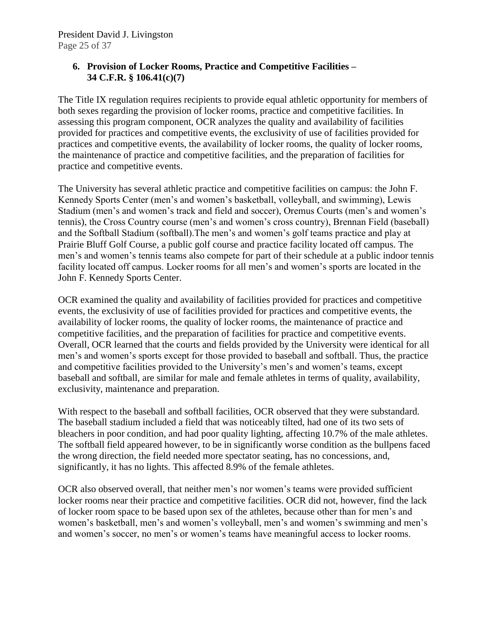# **6. Provision of Locker Rooms, Practice and Competitive Facilities – 34 C.F.R. § 106.41(c)(7)**

The Title IX regulation requires recipients to provide equal athletic opportunity for members of both sexes regarding the provision of locker rooms, practice and competitive facilities. In assessing this program component, OCR analyzes the quality and availability of facilities provided for practices and competitive events, the exclusivity of use of facilities provided for practices and competitive events, the availability of locker rooms, the quality of locker rooms, the maintenance of practice and competitive facilities, and the preparation of facilities for practice and competitive events.

The University has several athletic practice and competitive facilities on campus: the John F. Kennedy Sports Center (men's and women's basketball, volleyball, and swimming), Lewis Stadium (men's and women's track and field and soccer), Oremus Courts (men's and women's tennis), the Cross Country course (men's and women's cross country), Brennan Field (baseball) and the Softball Stadium (softball).The men's and women's golf teams practice and play at Prairie Bluff Golf Course, a public golf course and practice facility located off campus. The men's and women's tennis teams also compete for part of their schedule at a public indoor tennis facility located off campus. Locker rooms for all men's and women's sports are located in the John F. Kennedy Sports Center.

OCR examined the quality and availability of facilities provided for practices and competitive events, the exclusivity of use of facilities provided for practices and competitive events, the availability of locker rooms, the quality of locker rooms, the maintenance of practice and competitive facilities, and the preparation of facilities for practice and competitive events. Overall, OCR learned that the courts and fields provided by the University were identical for all men's and women's sports except for those provided to baseball and softball. Thus, the practice and competitive facilities provided to the University's men's and women's teams, except baseball and softball, are similar for male and female athletes in terms of quality, availability, exclusivity, maintenance and preparation.

With respect to the baseball and softball facilities, OCR observed that they were substandard. The baseball stadium included a field that was noticeably tilted, had one of its two sets of bleachers in poor condition, and had poor quality lighting, affecting 10.7% of the male athletes. The softball field appeared however, to be in significantly worse condition as the bullpens faced the wrong direction, the field needed more spectator seating, has no concessions, and, significantly, it has no lights. This affected 8.9% of the female athletes.

OCR also observed overall, that neither men's nor women's teams were provided sufficient locker rooms near their practice and competitive facilities. OCR did not, however, find the lack of locker room space to be based upon sex of the athletes, because other than for men's and women's basketball, men's and women's volleyball, men's and women's swimming and men's and women's soccer, no men's or women's teams have meaningful access to locker rooms.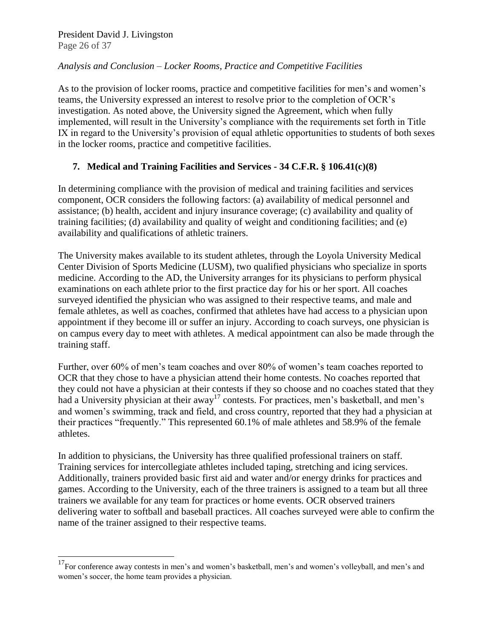President David J. Livingston Page 26 of 37

 $\overline{a}$ 

#### *Analysis and Conclusion – Locker Rooms, Practice and Competitive Facilities*

As to the provision of locker rooms, practice and competitive facilities for men's and women's teams, the University expressed an interest to resolve prior to the completion of OCR's investigation. As noted above, the University signed the Agreement, which when fully implemented, will result in the University's compliance with the requirements set forth in Title IX in regard to the University's provision of equal athletic opportunities to students of both sexes in the locker rooms, practice and competitive facilities.

## **7. Medical and Training Facilities and Services - 34 C.F.R. § 106.41(c)(8)**

In determining compliance with the provision of medical and training facilities and services component, OCR considers the following factors: (a) availability of medical personnel and assistance; (b) health, accident and injury insurance coverage; (c) availability and quality of training facilities; (d) availability and quality of weight and conditioning facilities; and (e) availability and qualifications of athletic trainers.

The University makes available to its student athletes, through the Loyola University Medical Center Division of Sports Medicine (LUSM), two qualified physicians who specialize in sports medicine. According to the AD, the University arranges for its physicians to perform physical examinations on each athlete prior to the first practice day for his or her sport. All coaches surveyed identified the physician who was assigned to their respective teams, and male and female athletes, as well as coaches, confirmed that athletes have had access to a physician upon appointment if they become ill or suffer an injury. According to coach surveys, one physician is on campus every day to meet with athletes. A medical appointment can also be made through the training staff.

Further, over 60% of men's team coaches and over 80% of women's team coaches reported to OCR that they chose to have a physician attend their home contests. No coaches reported that they could not have a physician at their contests if they so choose and no coaches stated that they had a University physician at their away<sup>17</sup> contests. For practices, men's basketball, and men's and women's swimming, track and field, and cross country, reported that they had a physician at their practices "frequently." This represented 60.1% of male athletes and 58.9% of the female athletes.

In addition to physicians, the University has three qualified professional trainers on staff. Training services for intercollegiate athletes included taping, stretching and icing services. Additionally, trainers provided basic first aid and water and/or energy drinks for practices and games. According to the University, each of the three trainers is assigned to a team but all three trainers we available for any team for practices or home events. OCR observed trainers delivering water to softball and baseball practices. All coaches surveyed were able to confirm the name of the trainer assigned to their respective teams.

 $17$ For conference away contests in men's and women's basketball, men's and women's volleyball, and men's and women's soccer, the home team provides a physician.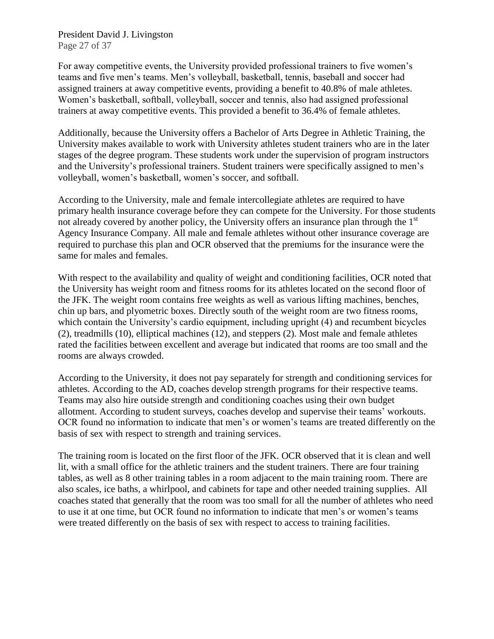President David J. Livingston Page 27 of 37

For away competitive events, the University provided professional trainers to five women's teams and five men's teams. Men's volleyball, basketball, tennis, baseball and soccer had assigned trainers at away competitive events, providing a benefit to 40.8% of male athletes. Women's basketball, softball, volleyball, soccer and tennis, also had assigned professional trainers at away competitive events. This provided a benefit to 36.4% of female athletes.

Additionally, because the University offers a Bachelor of Arts Degree in Athletic Training, the University makes available to work with University athletes student trainers who are in the later stages of the degree program. These students work under the supervision of program instructors and the University's professional trainers. Student trainers were specifically assigned to men's volleyball, women's basketball, women's soccer, and softball.

According to the University, male and female intercollegiate athletes are required to have primary health insurance coverage before they can compete for the University. For those students not already covered by another policy, the University offers an insurance plan through the 1<sup>st</sup> Agency Insurance Company. All male and female athletes without other insurance coverage are required to purchase this plan and OCR observed that the premiums for the insurance were the same for males and females.

With respect to the availability and quality of weight and conditioning facilities, OCR noted that the University has weight room and fitness rooms for its athletes located on the second floor of the JFK. The weight room contains free weights as well as various lifting machines, benches, chin up bars, and plyometric boxes. Directly south of the weight room are two fitness rooms, which contain the University's cardio equipment, including upright (4) and recumbent bicycles (2), treadmills (10), elliptical machines (12), and steppers (2). Most male and female athletes rated the facilities between excellent and average but indicated that rooms are too small and the rooms are always crowded.

According to the University, it does not pay separately for strength and conditioning services for athletes. According to the AD, coaches develop strength programs for their respective teams. Teams may also hire outside strength and conditioning coaches using their own budget allotment. According to student surveys, coaches develop and supervise their teams' workouts. OCR found no information to indicate that men's or women's teams are treated differently on the basis of sex with respect to strength and training services.

The training room is located on the first floor of the JFK. OCR observed that it is clean and well lit, with a small office for the athletic trainers and the student trainers. There are four training tables, as well as 8 other training tables in a room adjacent to the main training room. There are also scales, ice baths, a whirlpool, and cabinets for tape and other needed training supplies. All coaches stated that generally that the room was too small for all the number of athletes who need to use it at one time, but OCR found no information to indicate that men's or women's teams were treated differently on the basis of sex with respect to access to training facilities.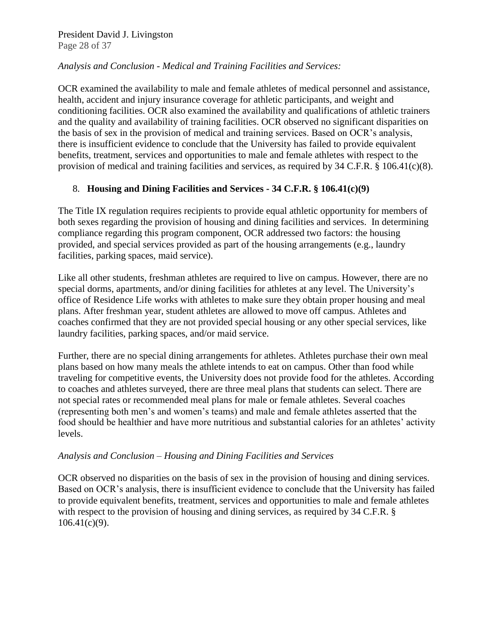#### President David J. Livingston Page 28 of 37

#### *Analysis and Conclusion - Medical and Training Facilities and Services:*

OCR examined the availability to male and female athletes of medical personnel and assistance, health, accident and injury insurance coverage for athletic participants, and weight and conditioning facilities. OCR also examined the availability and qualifications of athletic trainers and the quality and availability of training facilities. OCR observed no significant disparities on the basis of sex in the provision of medical and training services. Based on OCR's analysis, there is insufficient evidence to conclude that the University has failed to provide equivalent benefits, treatment, services and opportunities to male and female athletes with respect to the provision of medical and training facilities and services, as required by 34 C.F.R. § 106.41(c)(8).

#### 8. **Housing and Dining Facilities and Services - 34 C.F.R. § 106.41(c)(9)**

The Title IX regulation requires recipients to provide equal athletic opportunity for members of both sexes regarding the provision of housing and dining facilities and services. In determining compliance regarding this program component, OCR addressed two factors: the housing provided, and special services provided as part of the housing arrangements (e.g., laundry facilities, parking spaces, maid service).

Like all other students, freshman athletes are required to live on campus. However, there are no special dorms, apartments, and/or dining facilities for athletes at any level. The University's office of Residence Life works with athletes to make sure they obtain proper housing and meal plans. After freshman year, student athletes are allowed to move off campus. Athletes and coaches confirmed that they are not provided special housing or any other special services, like laundry facilities, parking spaces, and/or maid service.

Further, there are no special dining arrangements for athletes. Athletes purchase their own meal plans based on how many meals the athlete intends to eat on campus. Other than food while traveling for competitive events, the University does not provide food for the athletes. According to coaches and athletes surveyed, there are three meal plans that students can select. There are not special rates or recommended meal plans for male or female athletes. Several coaches (representing both men's and women's teams) and male and female athletes asserted that the food should be healthier and have more nutritious and substantial calories for an athletes' activity levels.

#### *Analysis and Conclusion – Housing and Dining Facilities and Services*

OCR observed no disparities on the basis of sex in the provision of housing and dining services. Based on OCR's analysis, there is insufficient evidence to conclude that the University has failed to provide equivalent benefits, treatment, services and opportunities to male and female athletes with respect to the provision of housing and dining services, as required by 34 C.F.R. §  $106.41(c)(9)$ .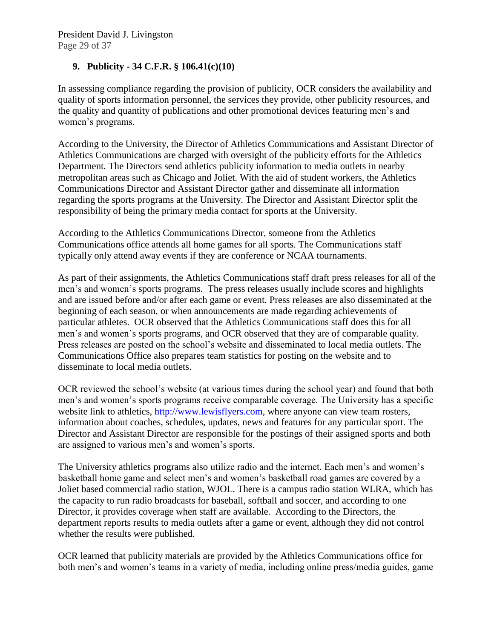# **9. Publicity - 34 C.F.R. § 106.41(c)(10)**

In assessing compliance regarding the provision of publicity, OCR considers the availability and quality of sports information personnel, the services they provide, other publicity resources, and the quality and quantity of publications and other promotional devices featuring men's and women's programs.

According to the University, the Director of Athletics Communications and Assistant Director of Athletics Communications are charged with oversight of the publicity efforts for the Athletics Department. The Directors send athletics publicity information to media outlets in nearby metropolitan areas such as Chicago and Joliet. With the aid of student workers, the Athletics Communications Director and Assistant Director gather and disseminate all information regarding the sports programs at the University. The Director and Assistant Director split the responsibility of being the primary media contact for sports at the University.

According to the Athletics Communications Director, someone from the Athletics Communications office attends all home games for all sports. The Communications staff typically only attend away events if they are conference or NCAA tournaments.

As part of their assignments, the Athletics Communications staff draft press releases for all of the men's and women's sports programs. The press releases usually include scores and highlights and are issued before and/or after each game or event. Press releases are also disseminated at the beginning of each season, or when announcements are made regarding achievements of particular athletes. OCR observed that the Athletics Communications staff does this for all men's and women's sports programs, and OCR observed that they are of comparable quality. Press releases are posted on the school's website and disseminated to local media outlets. The Communications Office also prepares team statistics for posting on the website and to disseminate to local media outlets.

OCR reviewed the school's website (at various times during the school year) and found that both men's and women's sports programs receive comparable coverage. The University has a specific website link to athletics, [http://www.lewisflyers.com,](http://www.lewisflyers.com/) where anyone can view team rosters, information about coaches, schedules, updates, news and features for any particular sport. The Director and Assistant Director are responsible for the postings of their assigned sports and both are assigned to various men's and women's sports.

The University athletics programs also utilize radio and the internet. Each men's and women's basketball home game and select men's and women's basketball road games are covered by a Joliet based commercial radio station, WJOL. There is a campus radio station WLRA, which has the capacity to run radio broadcasts for baseball, softball and soccer, and according to one Director, it provides coverage when staff are available. According to the Directors, the department reports results to media outlets after a game or event, although they did not control whether the results were published.

OCR learned that publicity materials are provided by the Athletics Communications office for both men's and women's teams in a variety of media, including online press/media guides, game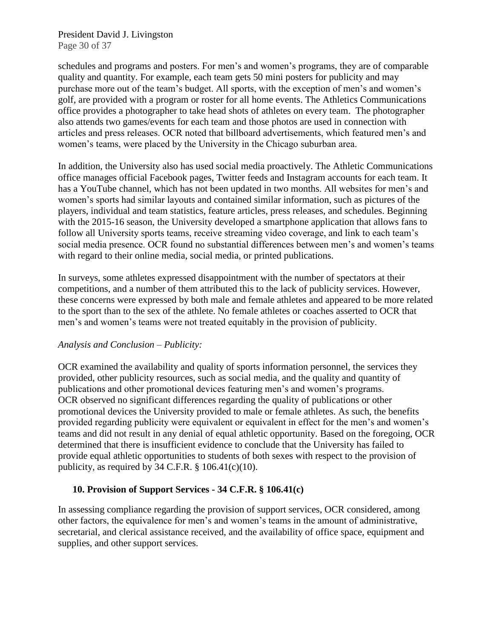President David J. Livingston Page 30 of 37

schedules and programs and posters. For men's and women's programs, they are of comparable quality and quantity. For example, each team gets 50 mini posters for publicity and may purchase more out of the team's budget. All sports, with the exception of men's and women's golf, are provided with a program or roster for all home events. The Athletics Communications office provides a photographer to take head shots of athletes on every team. The photographer also attends two games/events for each team and those photos are used in connection with articles and press releases. OCR noted that billboard advertisements, which featured men's and women's teams, were placed by the University in the Chicago suburban area.

In addition, the University also has used social media proactively. The Athletic Communications office manages official Facebook pages, Twitter feeds and Instagram accounts for each team. It has a YouTube channel, which has not been updated in two months. All websites for men's and women's sports had similar layouts and contained similar information, such as pictures of the players, individual and team statistics, feature articles, press releases, and schedules. Beginning with the 2015-16 season, the University developed a smartphone application that allows fans to follow all University sports teams, receive streaming video coverage, and link to each team's social media presence. OCR found no substantial differences between men's and women's teams with regard to their online media, social media, or printed publications.

In surveys, some athletes expressed disappointment with the number of spectators at their competitions, and a number of them attributed this to the lack of publicity services. However, these concerns were expressed by both male and female athletes and appeared to be more related to the sport than to the sex of the athlete. No female athletes or coaches asserted to OCR that men's and women's teams were not treated equitably in the provision of publicity.

#### *Analysis and Conclusion – Publicity:*

OCR examined the availability and quality of sports information personnel, the services they provided, other publicity resources, such as social media, and the quality and quantity of publications and other promotional devices featuring men's and women's programs. OCR observed no significant differences regarding the quality of publications or other promotional devices the University provided to male or female athletes. As such, the benefits provided regarding publicity were equivalent or equivalent in effect for the men's and women's teams and did not result in any denial of equal athletic opportunity. Based on the foregoing, OCR determined that there is insufficient evidence to conclude that the University has failed to provide equal athletic opportunities to students of both sexes with respect to the provision of publicity, as required by  $34$  C.F.R.  $\S$  106.41(c)(10).

#### **10. Provision of Support Services - 34 C.F.R. § 106.41(c)**

In assessing compliance regarding the provision of support services, OCR considered, among other factors, the equivalence for men's and women's teams in the amount of administrative, secretarial, and clerical assistance received, and the availability of office space, equipment and supplies, and other support services.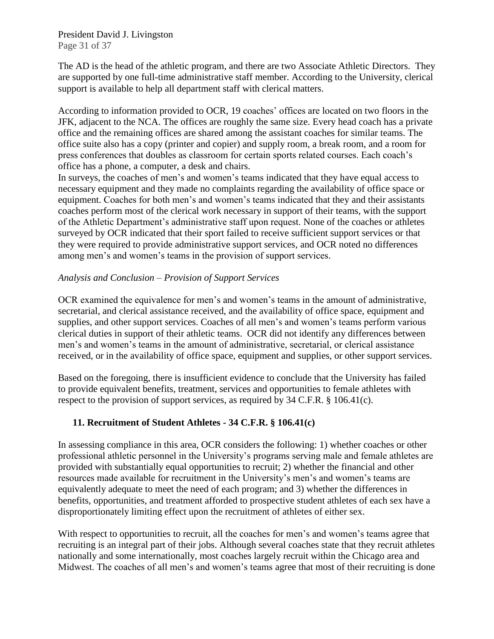President David J. Livingston Page 31 of 37

The AD is the head of the athletic program, and there are two Associate Athletic Directors. They are supported by one full-time administrative staff member. According to the University, clerical support is available to help all department staff with clerical matters.

According to information provided to OCR, 19 coaches' offices are located on two floors in the JFK, adjacent to the NCA. The offices are roughly the same size. Every head coach has a private office and the remaining offices are shared among the assistant coaches for similar teams. The office suite also has a copy (printer and copier) and supply room, a break room, and a room for press conferences that doubles as classroom for certain sports related courses. Each coach's office has a phone, a computer, a desk and chairs.

In surveys, the coaches of men's and women's teams indicated that they have equal access to necessary equipment and they made no complaints regarding the availability of office space or equipment. Coaches for both men's and women's teams indicated that they and their assistants coaches perform most of the clerical work necessary in support of their teams, with the support of the Athletic Department's administrative staff upon request. None of the coaches or athletes surveyed by OCR indicated that their sport failed to receive sufficient support services or that they were required to provide administrative support services, and OCR noted no differences among men's and women's teams in the provision of support services.

#### *Analysis and Conclusion – Provision of Support Services*

OCR examined the equivalence for men's and women's teams in the amount of administrative, secretarial, and clerical assistance received, and the availability of office space, equipment and supplies, and other support services. Coaches of all men's and women's teams perform various clerical duties in support of their athletic teams. OCR did not identify any differences between men's and women's teams in the amount of administrative, secretarial, or clerical assistance received, or in the availability of office space, equipment and supplies, or other support services.

Based on the foregoing, there is insufficient evidence to conclude that the University has failed to provide equivalent benefits, treatment, services and opportunities to female athletes with respect to the provision of support services, as required by 34 C.F.R. § 106.41(c).

## **11. Recruitment of Student Athletes - 34 C.F.R. § 106.41(c)**

In assessing compliance in this area, OCR considers the following: 1) whether coaches or other professional athletic personnel in the University's programs serving male and female athletes are provided with substantially equal opportunities to recruit; 2) whether the financial and other resources made available for recruitment in the University's men's and women's teams are equivalently adequate to meet the need of each program; and 3) whether the differences in benefits, opportunities, and treatment afforded to prospective student athletes of each sex have a disproportionately limiting effect upon the recruitment of athletes of either sex.

With respect to opportunities to recruit, all the coaches for men's and women's teams agree that recruiting is an integral part of their jobs. Although several coaches state that they recruit athletes nationally and some internationally, most coaches largely recruit within the Chicago area and Midwest. The coaches of all men's and women's teams agree that most of their recruiting is done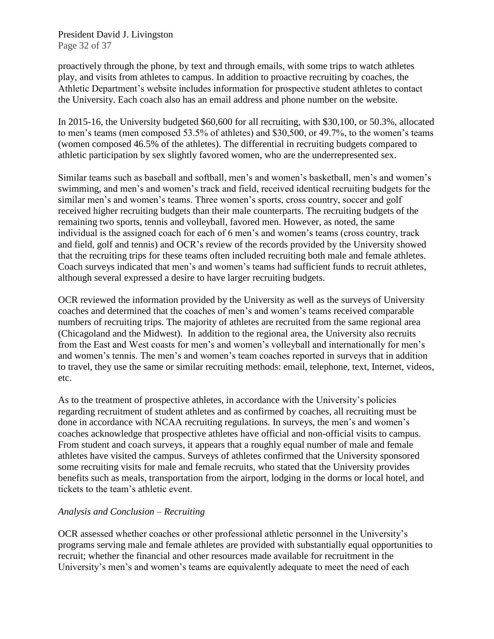President David J. Livingston Page 32 of 37

proactively through the phone, by text and through emails, with some trips to watch athletes play, and visits from athletes to campus. In addition to proactive recruiting by coaches, the Athletic Department's website includes information for prospective student athletes to contact the University. Each coach also has an email address and phone number on the website.

In 2015-16, the University budgeted \$60,600 for all recruiting, with \$30,100, or 50.3%, allocated to men's teams (men composed 53.5% of athletes) and \$30,500, or 49.7%, to the women's teams (women composed 46.5% of the athletes). The differential in recruiting budgets compared to athletic participation by sex slightly favored women, who are the underrepresented sex.

Similar teams such as baseball and softball, men's and women's basketball, men's and women's swimming, and men's and women's track and field, received identical recruiting budgets for the similar men's and women's teams. Three women's sports, cross country, soccer and golf received higher recruiting budgets than their male counterparts. The recruiting budgets of the remaining two sports, tennis and volleyball, favored men. However, as noted, the same individual is the assigned coach for each of 6 men's and women's teams (cross country, track and field, golf and tennis) and OCR's review of the records provided by the University showed that the recruiting trips for these teams often included recruiting both male and female athletes. Coach surveys indicated that men's and women's teams had sufficient funds to recruit athletes, although several expressed a desire to have larger recruiting budgets.

OCR reviewed the information provided by the University as well as the surveys of University coaches and determined that the coaches of men's and women's teams received comparable numbers of recruiting trips. The majority of athletes are recruited from the same regional area (Chicagoland and the Midwest). In addition to the regional area, the University also recruits from the East and West coasts for men's and women's volleyball and internationally for men's and women's tennis. The men's and women's team coaches reported in surveys that in addition to travel, they use the same or similar recruiting methods: email, telephone, text, Internet, videos, etc.

As to the treatment of prospective athletes, in accordance with the University's policies regarding recruitment of student athletes and as confirmed by coaches, all recruiting must be done in accordance with NCAA recruiting regulations. In surveys, the men's and women's coaches acknowledge that prospective athletes have official and non-official visits to campus. From student and coach surveys, it appears that a roughly equal number of male and female athletes have visited the campus. Surveys of athletes confirmed that the University sponsored some recruiting visits for male and female recruits, who stated that the University provides benefits such as meals, transportation from the airport, lodging in the dorms or local hotel, and tickets to the team's athletic event.

#### *Analysis and Conclusion – Recruiting*

OCR assessed whether coaches or other professional athletic personnel in the University's programs serving male and female athletes are provided with substantially equal opportunities to recruit; whether the financial and other resources made available for recruitment in the University's men's and women's teams are equivalently adequate to meet the need of each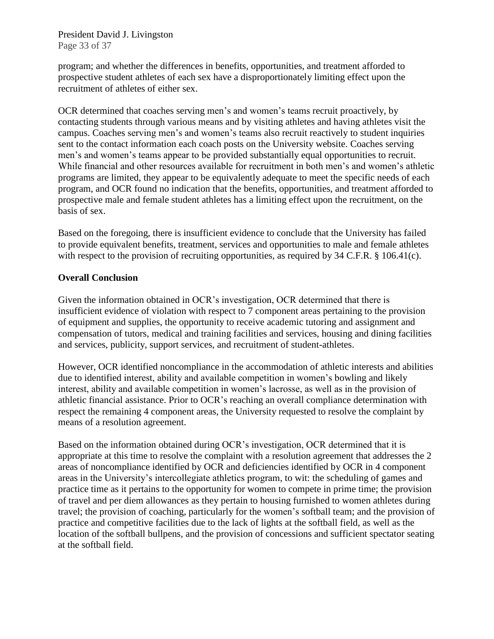President David J. Livingston Page 33 of 37

program; and whether the differences in benefits, opportunities, and treatment afforded to prospective student athletes of each sex have a disproportionately limiting effect upon the recruitment of athletes of either sex.

OCR determined that coaches serving men's and women's teams recruit proactively, by contacting students through various means and by visiting athletes and having athletes visit the campus. Coaches serving men's and women's teams also recruit reactively to student inquiries sent to the contact information each coach posts on the University website. Coaches serving men's and women's teams appear to be provided substantially equal opportunities to recruit. While financial and other resources available for recruitment in both men's and women's athletic programs are limited, they appear to be equivalently adequate to meet the specific needs of each program, and OCR found no indication that the benefits, opportunities, and treatment afforded to prospective male and female student athletes has a limiting effect upon the recruitment, on the basis of sex.

Based on the foregoing, there is insufficient evidence to conclude that the University has failed to provide equivalent benefits, treatment, services and opportunities to male and female athletes with respect to the provision of recruiting opportunities, as required by 34 C.F.R. § 106.41(c).

#### **Overall Conclusion**

Given the information obtained in OCR's investigation, OCR determined that there is insufficient evidence of violation with respect to 7 component areas pertaining to the provision of equipment and supplies, the opportunity to receive academic tutoring and assignment and compensation of tutors, medical and training facilities and services, housing and dining facilities and services, publicity, support services, and recruitment of student-athletes.

However, OCR identified noncompliance in the accommodation of athletic interests and abilities due to identified interest, ability and available competition in women's bowling and likely interest, ability and available competition in women's lacrosse, as well as in the provision of athletic financial assistance. Prior to OCR's reaching an overall compliance determination with respect the remaining 4 component areas, the University requested to resolve the complaint by means of a resolution agreement.

Based on the information obtained during OCR's investigation, OCR determined that it is appropriate at this time to resolve the complaint with a resolution agreement that addresses the 2 areas of noncompliance identified by OCR and deficiencies identified by OCR in 4 component areas in the University's intercollegiate athletics program, to wit: the scheduling of games and practice time as it pertains to the opportunity for women to compete in prime time; the provision of travel and per diem allowances as they pertain to housing furnished to women athletes during travel; the provision of coaching, particularly for the women's softball team; and the provision of practice and competitive facilities due to the lack of lights at the softball field, as well as the location of the softball bullpens, and the provision of concessions and sufficient spectator seating at the softball field.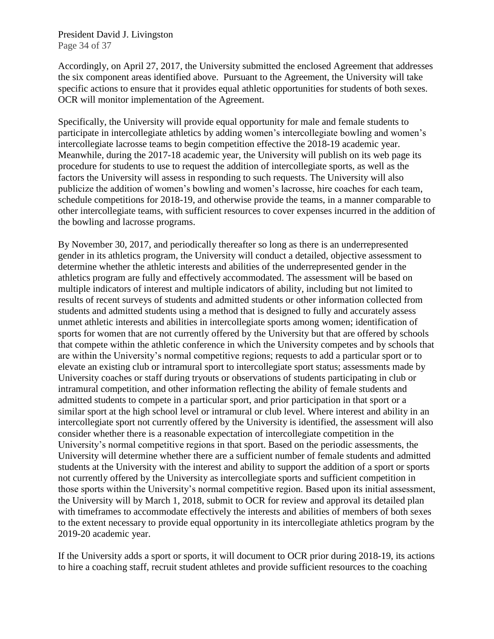President David J. Livingston Page 34 of 37

Accordingly, on April 27, 2017, the University submitted the enclosed Agreement that addresses the six component areas identified above. Pursuant to the Agreement, the University will take specific actions to ensure that it provides equal athletic opportunities for students of both sexes. OCR will monitor implementation of the Agreement.

Specifically, the University will provide equal opportunity for male and female students to participate in intercollegiate athletics by adding women's intercollegiate bowling and women's intercollegiate lacrosse teams to begin competition effective the 2018-19 academic year. Meanwhile, during the 2017-18 academic year, the University will publish on its web page its procedure for students to use to request the addition of intercollegiate sports, as well as the factors the University will assess in responding to such requests. The University will also publicize the addition of women's bowling and women's lacrosse, hire coaches for each team, schedule competitions for 2018-19, and otherwise provide the teams, in a manner comparable to other intercollegiate teams, with sufficient resources to cover expenses incurred in the addition of the bowling and lacrosse programs.

By November 30, 2017, and periodically thereafter so long as there is an underrepresented gender in its athletics program, the University will conduct a detailed, objective assessment to determine whether the athletic interests and abilities of the underrepresented gender in the athletics program are fully and effectively accommodated. The assessment will be based on multiple indicators of interest and multiple indicators of ability, including but not limited to results of recent surveys of students and admitted students or other information collected from students and admitted students using a method that is designed to fully and accurately assess unmet athletic interests and abilities in intercollegiate sports among women; identification of sports for women that are not currently offered by the University but that are offered by schools that compete within the athletic conference in which the University competes and by schools that are within the University's normal competitive regions; requests to add a particular sport or to elevate an existing club or intramural sport to intercollegiate sport status; assessments made by University coaches or staff during tryouts or observations of students participating in club or intramural competition, and other information reflecting the ability of female students and admitted students to compete in a particular sport, and prior participation in that sport or a similar sport at the high school level or intramural or club level. Where interest and ability in an intercollegiate sport not currently offered by the University is identified, the assessment will also consider whether there is a reasonable expectation of intercollegiate competition in the University's normal competitive regions in that sport. Based on the periodic assessments, the University will determine whether there are a sufficient number of female students and admitted students at the University with the interest and ability to support the addition of a sport or sports not currently offered by the University as intercollegiate sports and sufficient competition in those sports within the University's normal competitive region. Based upon its initial assessment, the University will by March 1, 2018, submit to OCR for review and approval its detailed plan with timeframes to accommodate effectively the interests and abilities of members of both sexes to the extent necessary to provide equal opportunity in its intercollegiate athletics program by the 2019-20 academic year.

If the University adds a sport or sports, it will document to OCR prior during 2018-19, its actions to hire a coaching staff, recruit student athletes and provide sufficient resources to the coaching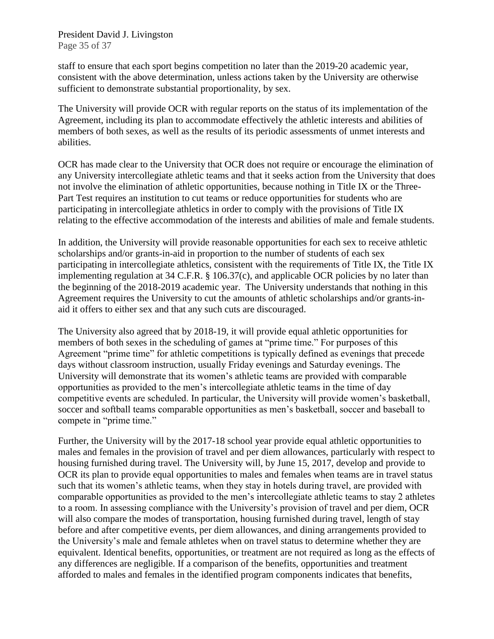President David J. Livingston Page 35 of 37

staff to ensure that each sport begins competition no later than the 2019-20 academic year, consistent with the above determination, unless actions taken by the University are otherwise sufficient to demonstrate substantial proportionality, by sex.

The University will provide OCR with regular reports on the status of its implementation of the Agreement, including its plan to accommodate effectively the athletic interests and abilities of members of both sexes, as well as the results of its periodic assessments of unmet interests and abilities.

OCR has made clear to the University that OCR does not require or encourage the elimination of any University intercollegiate athletic teams and that it seeks action from the University that does not involve the elimination of athletic opportunities, because nothing in Title IX or the Three-Part Test requires an institution to cut teams or reduce opportunities for students who are participating in intercollegiate athletics in order to comply with the provisions of Title IX relating to the effective accommodation of the interests and abilities of male and female students.

In addition, the University will provide reasonable opportunities for each sex to receive athletic scholarships and/or grants-in-aid in proportion to the number of students of each sex participating in intercollegiate athletics, consistent with the requirements of Title IX, the Title IX implementing regulation at 34 C.F.R. § 106.37(c), and applicable OCR policies by no later than the beginning of the 2018-2019 academic year. The University understands that nothing in this Agreement requires the University to cut the amounts of athletic scholarships and/or grants-inaid it offers to either sex and that any such cuts are discouraged.

The University also agreed that by 2018-19, it will provide equal athletic opportunities for members of both sexes in the scheduling of games at "prime time." For purposes of this Agreement "prime time" for athletic competitions is typically defined as evenings that precede days without classroom instruction, usually Friday evenings and Saturday evenings. The University will demonstrate that its women's athletic teams are provided with comparable opportunities as provided to the men's intercollegiate athletic teams in the time of day competitive events are scheduled. In particular, the University will provide women's basketball, soccer and softball teams comparable opportunities as men's basketball, soccer and baseball to compete in "prime time."

Further, the University will by the 2017-18 school year provide equal athletic opportunities to males and females in the provision of travel and per diem allowances, particularly with respect to housing furnished during travel. The University will, by June 15, 2017, develop and provide to OCR its plan to provide equal opportunities to males and females when teams are in travel status such that its women's athletic teams, when they stay in hotels during travel, are provided with comparable opportunities as provided to the men's intercollegiate athletic teams to stay 2 athletes to a room. In assessing compliance with the University's provision of travel and per diem, OCR will also compare the modes of transportation, housing furnished during travel, length of stay before and after competitive events, per diem allowances, and dining arrangements provided to the University's male and female athletes when on travel status to determine whether they are equivalent. Identical benefits, opportunities, or treatment are not required as long as the effects of any differences are negligible. If a comparison of the benefits, opportunities and treatment afforded to males and females in the identified program components indicates that benefits,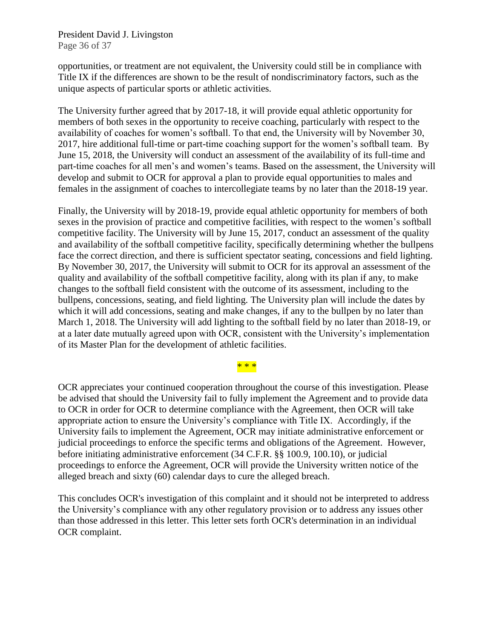President David J. Livingston Page 36 of 37

opportunities, or treatment are not equivalent, the University could still be in compliance with Title IX if the differences are shown to be the result of nondiscriminatory factors, such as the unique aspects of particular sports or athletic activities.

The University further agreed that by 2017-18, it will provide equal athletic opportunity for members of both sexes in the opportunity to receive coaching, particularly with respect to the availability of coaches for women's softball. To that end, the University will by November 30, 2017, hire additional full-time or part-time coaching support for the women's softball team. By June 15, 2018, the University will conduct an assessment of the availability of its full-time and part-time coaches for all men's and women's teams. Based on the assessment, the University will develop and submit to OCR for approval a plan to provide equal opportunities to males and females in the assignment of coaches to intercollegiate teams by no later than the 2018-19 year.

Finally, the University will by 2018-19, provide equal athletic opportunity for members of both sexes in the provision of practice and competitive facilities, with respect to the women's softball competitive facility. The University will by June 15, 2017, conduct an assessment of the quality and availability of the softball competitive facility, specifically determining whether the bullpens face the correct direction, and there is sufficient spectator seating, concessions and field lighting. By November 30, 2017, the University will submit to OCR for its approval an assessment of the quality and availability of the softball competitive facility, along with its plan if any, to make changes to the softball field consistent with the outcome of its assessment, including to the bullpens, concessions, seating, and field lighting. The University plan will include the dates by which it will add concessions, seating and make changes, if any to the bullpen by no later than March 1, 2018. The University will add lighting to the softball field by no later than 2018-19, or at a later date mutually agreed upon with OCR, consistent with the University's implementation of its Master Plan for the development of athletic facilities.

## \* \* \*

OCR appreciates your continued cooperation throughout the course of this investigation. Please be advised that should the University fail to fully implement the Agreement and to provide data to OCR in order for OCR to determine compliance with the Agreement, then OCR will take appropriate action to ensure the University's compliance with Title IX. Accordingly, if the University fails to implement the Agreement, OCR may initiate administrative enforcement or judicial proceedings to enforce the specific terms and obligations of the Agreement. However, before initiating administrative enforcement (34 C.F.R. §§ 100.9, 100.10), or judicial proceedings to enforce the Agreement, OCR will provide the University written notice of the alleged breach and sixty (60) calendar days to cure the alleged breach.

This concludes OCR's investigation of this complaint and it should not be interpreted to address the University's compliance with any other regulatory provision or to address any issues other than those addressed in this letter. This letter sets forth OCR's determination in an individual OCR complaint.